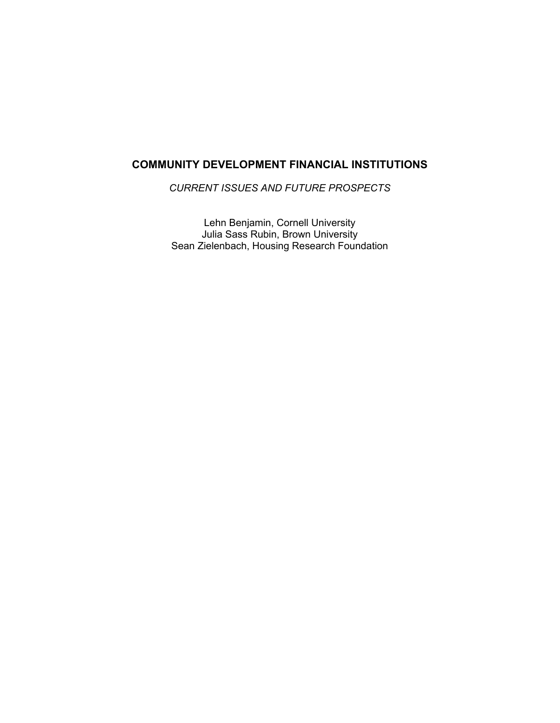# **COMMUNITY DEVELOPMENT FINANCIAL INSTITUTIONS**

*CURRENT ISSUES AND FUTURE PROSPECTS* 

Lehn Benjamin, Cornell University Julia Sass Rubin, Brown University Sean Zielenbach, Housing Research Foundation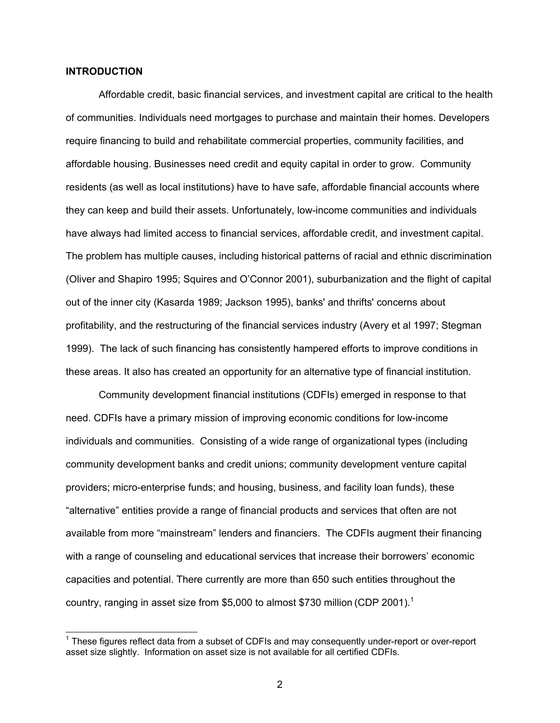### **INTRODUCTION**

Affordable credit, basic financial services, and investment capital are critical to the health of communities. Individuals need mortgages to purchase and maintain their homes. Developers require financing to build and rehabilitate commercial properties, community facilities, and affordable housing. Businesses need credit and equity capital in order to grow. Community residents (as well as local institutions) have to have safe, affordable financial accounts where they can keep and build their assets. Unfortunately, low-income communities and individuals have always had limited access to financial services, affordable credit, and investment capital. The problem has multiple causes, including historical patterns of racial and ethnic discrimination (Oliver and Shapiro 1995; Squires and O'Connor 2001), suburbanization and the flight of capital out of the inner city (Kasarda 1989; Jackson 1995), banks' and thrifts' concerns about profitability, and the restructuring of the financial services industry (Avery et al 1997; Stegman 1999). The lack of such financing has consistently hampered efforts to improve conditions in these areas. It also has created an opportunity for an alternative type of financial institution.

Community development financial institutions (CDFIs) emerged in response to that need. CDFIs have a primary mission of improving economic conditions for low-income individuals and communities. Consisting of a wide range of organizational types (including community development banks and credit unions; community development venture capital providers; micro-enterprise funds; and housing, business, and facility loan funds), these "alternative" entities provide a range of financial products and services that often are not available from more "mainstream" lenders and financiers. The CDFIs augment their financing with a range of counseling and educational services that increase their borrowers' economic capacities and potential. There currently are more than 650 such entities throughout the country, ranging in asset size from \$5,000 to almost \$730 million (CDP 2001).<sup>1</sup>

<sup>————————————————————&</sup>lt;br><sup>1</sup> These figures reflect data from a subset of CDFIs and may consequently under-report or over-report asset size slightly. Information on asset size is not available for all certified CDFIs.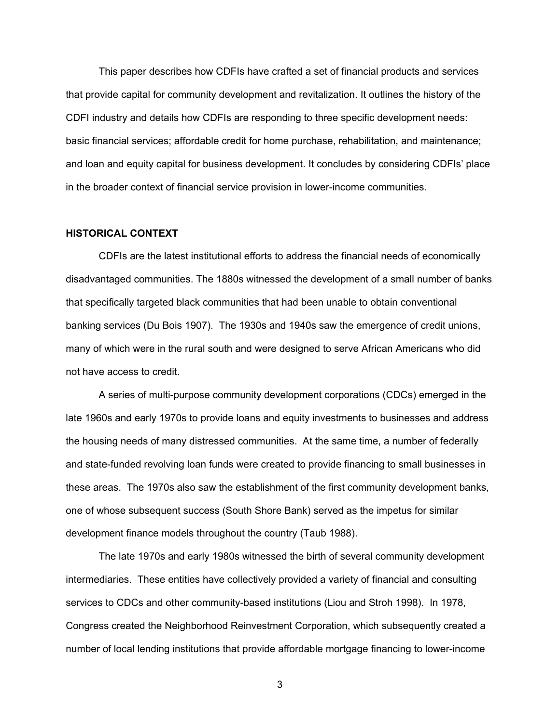This paper describes how CDFIs have crafted a set of financial products and services that provide capital for community development and revitalization. It outlines the history of the CDFI industry and details how CDFIs are responding to three specific development needs: basic financial services; affordable credit for home purchase, rehabilitation, and maintenance; and loan and equity capital for business development. It concludes by considering CDFIs' place in the broader context of financial service provision in lower-income communities.

### **HISTORICAL CONTEXT**

CDFIs are the latest institutional efforts to address the financial needs of economically disadvantaged communities. The 1880s witnessed the development of a small number of banks that specifically targeted black communities that had been unable to obtain conventional banking services (Du Bois 1907). The 1930s and 1940s saw the emergence of credit unions, many of which were in the rural south and were designed to serve African Americans who did not have access to credit.

A series of multi-purpose community development corporations (CDCs) emerged in the late 1960s and early 1970s to provide loans and equity investments to businesses and address the housing needs of many distressed communities. At the same time, a number of federally and state-funded revolving loan funds were created to provide financing to small businesses in these areas. The 1970s also saw the establishment of the first community development banks, one of whose subsequent success (South Shore Bank) served as the impetus for similar development finance models throughout the country (Taub 1988).

The late 1970s and early 1980s witnessed the birth of several community development intermediaries. These entities have collectively provided a variety of financial and consulting services to CDCs and other community-based institutions (Liou and Stroh 1998). In 1978, Congress created the Neighborhood Reinvestment Corporation, which subsequently created a number of local lending institutions that provide affordable mortgage financing to lower-income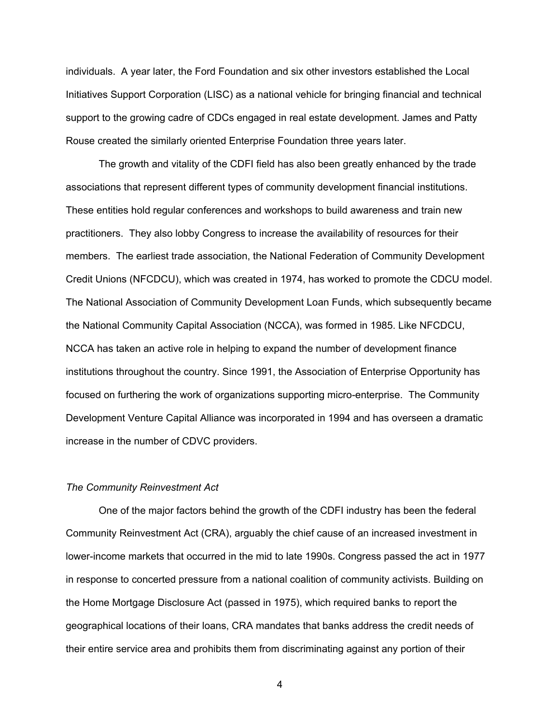individuals. A year later, the Ford Foundation and six other investors established the Local Initiatives Support Corporation (LISC) as a national vehicle for bringing financial and technical support to the growing cadre of CDCs engaged in real estate development. James and Patty Rouse created the similarly oriented Enterprise Foundation three years later.

The growth and vitality of the CDFI field has also been greatly enhanced by the trade associations that represent different types of community development financial institutions. These entities hold regular conferences and workshops to build awareness and train new practitioners. They also lobby Congress to increase the availability of resources for their members. The earliest trade association, the National Federation of Community Development Credit Unions (NFCDCU), which was created in 1974, has worked to promote the CDCU model. The National Association of Community Development Loan Funds, which subsequently became the National Community Capital Association (NCCA), was formed in 1985. Like NFCDCU, NCCA has taken an active role in helping to expand the number of development finance institutions throughout the country. Since 1991, the Association of Enterprise Opportunity has focused on furthering the work of organizations supporting micro-enterprise. The Community Development Venture Capital Alliance was incorporated in 1994 and has overseen a dramatic increase in the number of CDVC providers.

### *The Community Reinvestment Act*

One of the major factors behind the growth of the CDFI industry has been the federal Community Reinvestment Act (CRA), arguably the chief cause of an increased investment in lower-income markets that occurred in the mid to late 1990s. Congress passed the act in 1977 in response to concerted pressure from a national coalition of community activists. Building on the Home Mortgage Disclosure Act (passed in 1975), which required banks to report the geographical locations of their loans, CRA mandates that banks address the credit needs of their entire service area and prohibits them from discriminating against any portion of their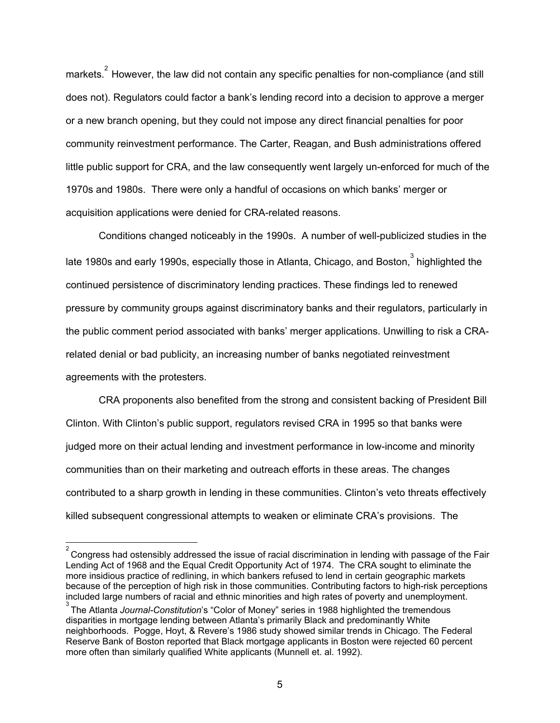markets.<sup>2</sup> However, the law did not contain any specific penalties for non-compliance (and still does not). Regulators could factor a bank's lending record into a decision to approve a merger or a new branch opening, but they could not impose any direct financial penalties for poor community reinvestment performance. The Carter, Reagan, and Bush administrations offered little public support for CRA, and the law consequently went largely un-enforced for much of the 1970s and 1980s. There were only a handful of occasions on which banks' merger or acquisition applications were denied for CRA-related reasons.

Conditions changed noticeably in the 1990s. A number of well-publicized studies in the late 1980s and early 1990s, especially those in Atlanta, Chicago, and Boston,  $3\over 3$  highlighted the continued persistence of discriminatory lending practices. These findings led to renewed pressure by community groups against discriminatory banks and their regulators, particularly in the public comment period associated with banks' merger applications. Unwilling to risk a CRArelated denial or bad publicity, an increasing number of banks negotiated reinvestment agreements with the protesters.

CRA proponents also benefited from the strong and consistent backing of President Bill Clinton. With Clinton's public support, regulators revised CRA in 1995 so that banks were judged more on their actual lending and investment performance in low-income and minority communities than on their marketing and outreach efforts in these areas. The changes contributed to a sharp growth in lending in these communities. Clinton's veto threats effectively killed subsequent congressional attempts to weaken or eliminate CRA's provisions. The

 $\frac{2}{\pi}$ Congress had ostensibly addressed the issue of racial discrimination in lending with passage of the Fair Lending Act of 1968 and the Equal Credit Opportunity Act of 1974. The CRA sought to eliminate the more insidious practice of redlining, in which bankers refused to lend in certain geographic markets because of the perception of high risk in those communities. Contributing factors to high-risk perceptions included large numbers of racial and ethnic minorities and high rates of poverty and unemployment.

<sup>3</sup> The Atlanta *Journal-Constitution*'s "Color of Money" series in 1988 highlighted the tremendous disparities in mortgage lending between Atlanta's primarily Black and predominantly White neighborhoods. Pogge, Hoyt, & Revere's 1986 study showed similar trends in Chicago. The Federal Reserve Bank of Boston reported that Black mortgage applicants in Boston were rejected 60 percent more often than similarly qualified White applicants (Munnell et. al. 1992).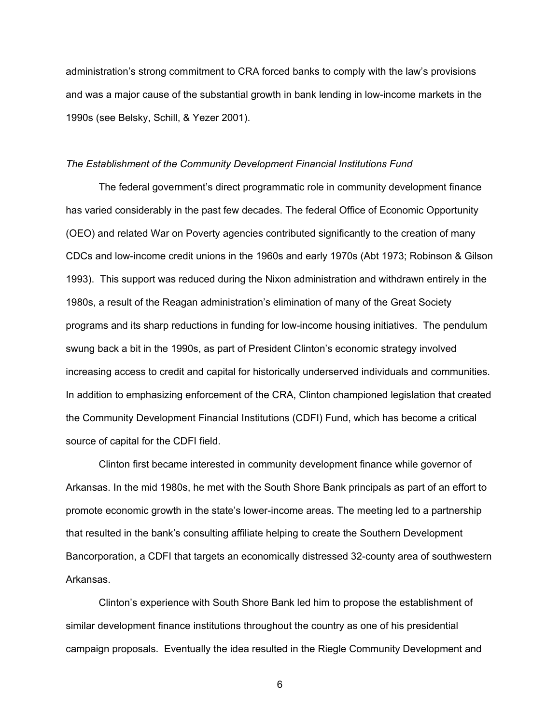administration's strong commitment to CRA forced banks to comply with the law's provisions and was a major cause of the substantial growth in bank lending in low-income markets in the 1990s (see Belsky, Schill, & Yezer 2001).

#### *The Establishment of the Community Development Financial Institutions Fund*

The federal government's direct programmatic role in community development finance has varied considerably in the past few decades. The federal Office of Economic Opportunity (OEO) and related War on Poverty agencies contributed significantly to the creation of many CDCs and low-income credit unions in the 1960s and early 1970s (Abt 1973; Robinson & Gilson 1993). This support was reduced during the Nixon administration and withdrawn entirely in the 1980s, a result of the Reagan administration's elimination of many of the Great Society programs and its sharp reductions in funding for low-income housing initiatives. The pendulum swung back a bit in the 1990s, as part of President Clinton's economic strategy involved increasing access to credit and capital for historically underserved individuals and communities. In addition to emphasizing enforcement of the CRA, Clinton championed legislation that created the Community Development Financial Institutions (CDFI) Fund, which has become a critical source of capital for the CDFI field.

Clinton first became interested in community development finance while governor of Arkansas. In the mid 1980s, he met with the South Shore Bank principals as part of an effort to promote economic growth in the state's lower-income areas. The meeting led to a partnership that resulted in the bank's consulting affiliate helping to create the Southern Development Bancorporation, a CDFI that targets an economically distressed 32-county area of southwestern Arkansas.

Clinton's experience with South Shore Bank led him to propose the establishment of similar development finance institutions throughout the country as one of his presidential campaign proposals. Eventually the idea resulted in the Riegle Community Development and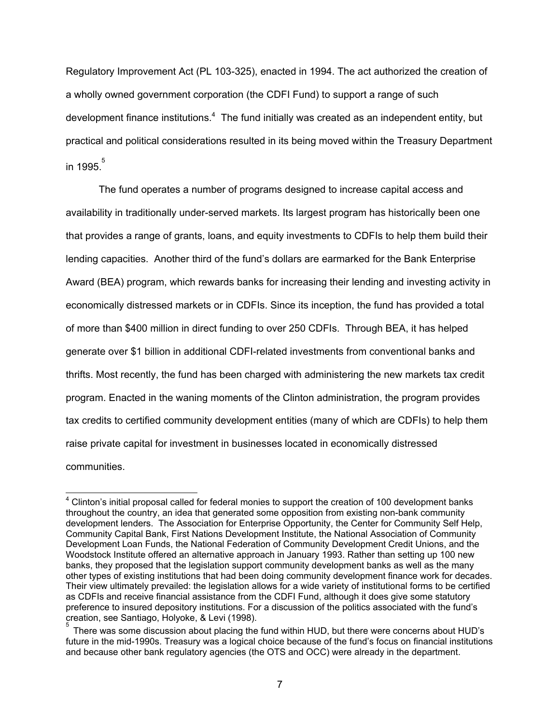Regulatory Improvement Act (PL 103-325), enacted in 1994. The act authorized the creation of a wholly owned government corporation (the CDFI Fund) to support a range of such development finance institutions.<sup>4</sup> The fund initially was created as an independent entity, but practical and political considerations resulted in its being moved within the Treasury Department in 1995. 5

The fund operates a number of programs designed to increase capital access and availability in traditionally under-served markets. Its largest program has historically been one that provides a range of grants, loans, and equity investments to CDFIs to help them build their lending capacities. Another third of the fund's dollars are earmarked for the Bank Enterprise Award (BEA) program, which rewards banks for increasing their lending and investing activity in economically distressed markets or in CDFIs. Since its inception, the fund has provided a total of more than \$400 million in direct funding to over 250 CDFIs. Through BEA, it has helped generate over \$1 billion in additional CDFI-related investments from conventional banks and thrifts. Most recently, the fund has been charged with administering the new markets tax credit program. Enacted in the waning moments of the Clinton administration, the program provides tax credits to certified community development entities (many of which are CDFIs) to help them raise private capital for investment in businesses located in economically distressed communities.

 $\overline{\phantom{a}}$ 

<sup>&</sup>lt;sup>4</sup> Clinton's initial proposal called for federal monies to support the creation of 100 development banks throughout the country, an idea that generated some opposition from existing non-bank community development lenders. The Association for Enterprise Opportunity, the Center for Community Self Help, Community Capital Bank, First Nations Development Institute, the National Association of Community Development Loan Funds, the National Federation of Community Development Credit Unions, and the Woodstock Institute offered an alternative approach in January 1993. Rather than setting up 100 new banks, they proposed that the legislation support community development banks as well as the many other types of existing institutions that had been doing community development finance work for decades. Their view ultimately prevailed: the legislation allows for a wide variety of institutional forms to be certified as CDFIs and receive financial assistance from the CDFI Fund, although it does give some statutory preference to insured depository institutions. For a discussion of the politics associated with the fund's creation, see Santiago, Holyoke, & Levi (1998).

<sup>5</sup> There was some discussion about placing the fund within HUD, but there were concerns about HUD's future in the mid-1990s. Treasury was a logical choice because of the fund's focus on financial institutions and because other bank regulatory agencies (the OTS and OCC) were already in the department.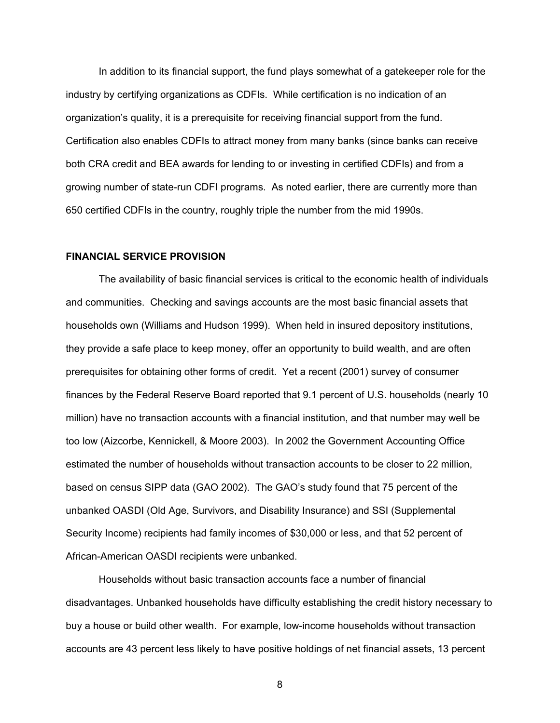In addition to its financial support, the fund plays somewhat of a gatekeeper role for the industry by certifying organizations as CDFIs. While certification is no indication of an organization's quality, it is a prerequisite for receiving financial support from the fund. Certification also enables CDFIs to attract money from many banks (since banks can receive both CRA credit and BEA awards for lending to or investing in certified CDFIs) and from a growing number of state-run CDFI programs. As noted earlier, there are currently more than 650 certified CDFIs in the country, roughly triple the number from the mid 1990s.

### **FINANCIAL SERVICE PROVISION**

The availability of basic financial services is critical to the economic health of individuals and communities. Checking and savings accounts are the most basic financial assets that households own (Williams and Hudson 1999). When held in insured depository institutions, they provide a safe place to keep money, offer an opportunity to build wealth, and are often prerequisites for obtaining other forms of credit. Yet a recent (2001) survey of consumer finances by the Federal Reserve Board reported that 9.1 percent of U.S. households (nearly 10 million) have no transaction accounts with a financial institution, and that number may well be too low (Aizcorbe, Kennickell, & Moore 2003). In 2002 the Government Accounting Office estimated the number of households without transaction accounts to be closer to 22 million, based on census SIPP data (GAO 2002). The GAO's study found that 75 percent of the unbanked OASDI (Old Age, Survivors, and Disability Insurance) and SSI (Supplemental Security Income) recipients had family incomes of \$30,000 or less, and that 52 percent of African-American OASDI recipients were unbanked.

Households without basic transaction accounts face a number of financial disadvantages. Unbanked households have difficulty establishing the credit history necessary to buy a house or build other wealth. For example, low-income households without transaction accounts are 43 percent less likely to have positive holdings of net financial assets, 13 percent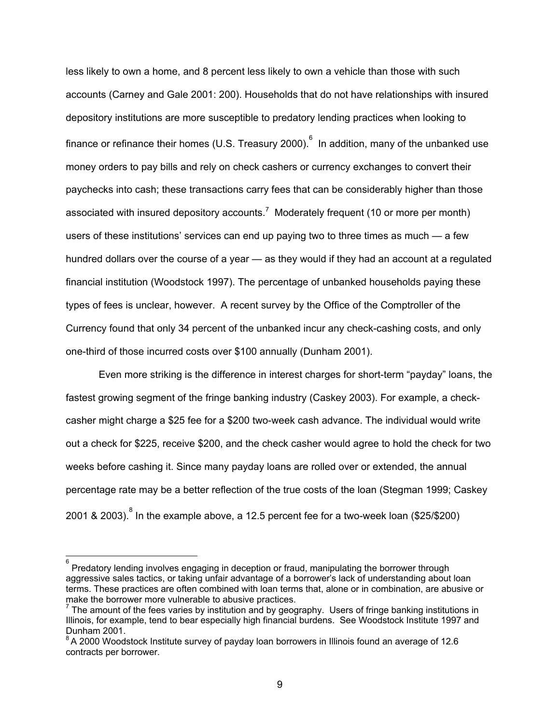less likely to own a home, and 8 percent less likely to own a vehicle than those with such accounts (Carney and Gale 2001: 200). Households that do not have relationships with insured depository institutions are more susceptible to predatory lending practices when looking to finance or refinance their homes (U.S. Treasury 2000).  $^{6}$  In addition, many of the unbanked use money orders to pay bills and rely on check cashers or currency exchanges to convert their paychecks into cash; these transactions carry fees that can be considerably higher than those associated with insured depository accounts.<sup>7</sup> Moderately frequent (10 or more per month) users of these institutions' services can end up paying two to three times as much — a few hundred dollars over the course of a year — as they would if they had an account at a regulated financial institution (Woodstock 1997). The percentage of unbanked households paying these types of fees is unclear, however. A recent survey by the Office of the Comptroller of the Currency found that only 34 percent of the unbanked incur any check-cashing costs, and only one-third of those incurred costs over \$100 annually (Dunham 2001).

Even more striking is the difference in interest charges for short-term "payday" loans, the fastest growing segment of the fringe banking industry (Caskey 2003). For example, a checkcasher might charge a \$25 fee for a \$200 two-week cash advance. The individual would write out a check for \$225, receive \$200, and the check casher would agree to hold the check for two weeks before cashing it. Since many payday loans are rolled over or extended, the annual percentage rate may be a better reflection of the true costs of the loan (Stegman 1999; Caskey 2001 & 2003). $^8$  In the example above, a 12.5 percent fee for a two-week loan (\$25/\$200)

<sup>&</sup>lt;u>.</u><br><sup>6</sup> Predatory lending involves engaging in deception or fraud, manipulating the borrower through. aggressive sales tactics, or taking unfair advantage of a borrower's lack of understanding about loan terms. These practices are often combined with loan terms that, alone or in combination, are abusive or make the borrower more vulnerable to abusive practices.

 $<sup>7</sup>$  The amount of the fees varies by institution and by geography. Users of fringe banking institutions in</sup> Illinois, for example, tend to bear especially high financial burdens. See Woodstock Institute 1997 and Dunham 2001.

<sup>&</sup>lt;sup>8</sup> A 2000 Woodstock Institute survey of payday loan borrowers in Illinois found an average of 12.6 contracts per borrower.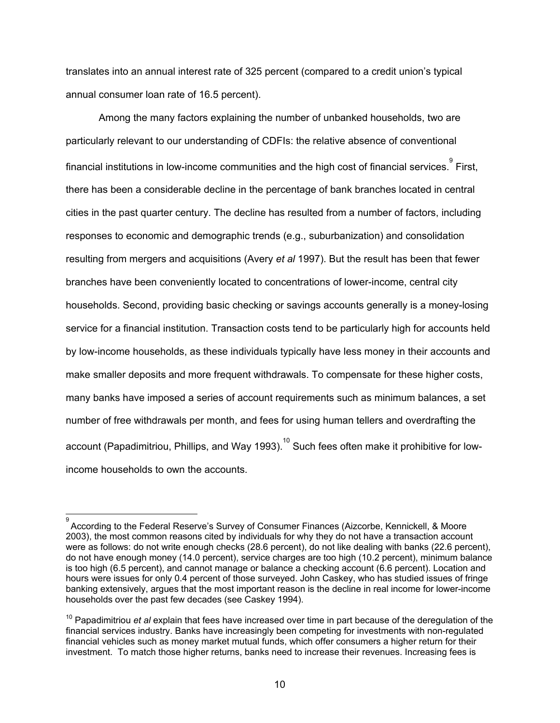translates into an annual interest rate of 325 percent (compared to a credit union's typical annual consumer loan rate of 16.5 percent).

Among the many factors explaining the number of unbanked households, two are particularly relevant to our understanding of CDFIs: the relative absence of conventional financial institutions in low-income communities and the high cost of financial services. $^\mathrm{\theta}$  First, there has been a considerable decline in the percentage of bank branches located in central cities in the past quarter century. The decline has resulted from a number of factors, including responses to economic and demographic trends (e.g., suburbanization) and consolidation resulting from mergers and acquisitions (Avery *et al* 1997). But the result has been that fewer branches have been conveniently located to concentrations of lower-income, central city households. Second, providing basic checking or savings accounts generally is a money-losing service for a financial institution. Transaction costs tend to be particularly high for accounts held by low-income households, as these individuals typically have less money in their accounts and make smaller deposits and more frequent withdrawals. To compensate for these higher costs, many banks have imposed a series of account requirements such as minimum balances, a set number of free withdrawals per month, and fees for using human tellers and overdrafting the account (Papadimitriou, Phillips, and Way 1993).<sup>10</sup> Such fees often make it prohibitive for lowincome households to own the accounts.

 $\overline{a}$ 

<sup>9</sup> According to the Federal Reserve's Survey of Consumer Finances (Aizcorbe, Kennickell, & Moore 2003), the most common reasons cited by individuals for why they do not have a transaction account were as follows: do not write enough checks (28.6 percent), do not like dealing with banks (22.6 percent), do not have enough money (14.0 percent), service charges are too high (10.2 percent), minimum balance is too high (6.5 percent), and cannot manage or balance a checking account (6.6 percent). Location and hours were issues for only 0.4 percent of those surveyed. John Caskey, who has studied issues of fringe banking extensively, argues that the most important reason is the decline in real income for lower-income households over the past few decades (see Caskey 1994).

<sup>&</sup>lt;sup>10</sup> Papadimitriou *et al* explain that fees have increased over time in part because of the deregulation of the financial services industry. Banks have increasingly been competing for investments with non-regulated financial vehicles such as money market mutual funds, which offer consumers a higher return for their investment. To match those higher returns, banks need to increase their revenues. Increasing fees is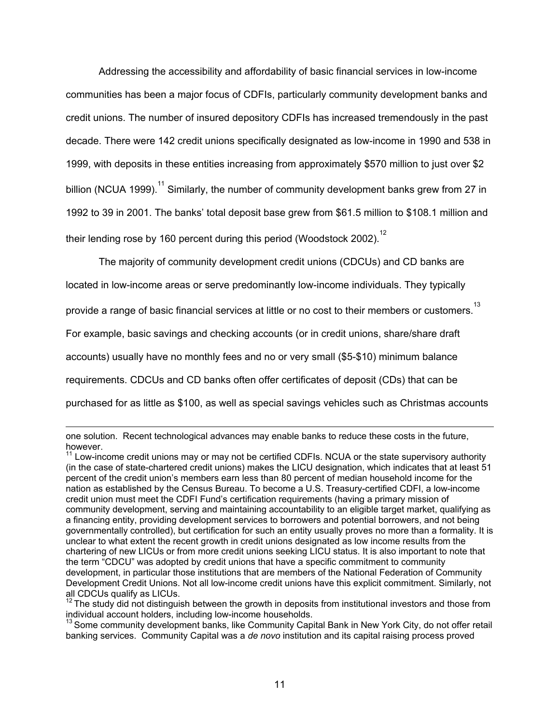Addressing the accessibility and affordability of basic financial services in low-income communities has been a major focus of CDFIs, particularly community development banks and credit unions. The number of insured depository CDFIs has increased tremendously in the past decade. There were 142 credit unions specifically designated as low-income in 1990 and 538 in 1999, with deposits in these entities increasing from approximately \$570 million to just over \$2 billion (NCUA 1999).<sup>11</sup> Similarly, the number of community development banks grew from 27 in 1992 to 39 in 2001. The banks' total deposit base grew from \$61.5 million to \$108.1 million and their lending rose by 160 percent during this period (Woodstock 2002).<sup>12</sup>

The majority of community development credit unions (CDCUs) and CD banks are

located in low-income areas or serve predominantly low-income individuals. They typically

provide a range of basic financial services at little or no cost to their members or customers.  $^{\rm 13}$ 

For example, basic savings and checking accounts (or in credit unions, share/share draft

accounts) usually have no monthly fees and no or very small (\$5-\$10) minimum balance

requirements. CDCUs and CD banks often offer certificates of deposit (CDs) that can be

purchased for as little as \$100, as well as special savings vehicles such as Christmas accounts

 $\overline{a}$ 

one solution. Recent technological advances may enable banks to reduce these costs in the future, however.

 $11$  Low-income credit unions may or may not be certified CDFIs. NCUA or the state supervisory authority (in the case of state-chartered credit unions) makes the LICU designation, which indicates that at least 51 percent of the credit union's members earn less than 80 percent of median household income for the nation as established by the Census Bureau. To become a U.S. Treasury-certified CDFI, a low-income credit union must meet the CDFI Fund's certification requirements (having a primary mission of community development, serving and maintaining accountability to an eligible target market, qualifying as a financing entity, providing development services to borrowers and potential borrowers, and not being governmentally controlled), but certification for such an entity usually proves no more than a formality. It is unclear to what extent the recent growth in credit unions designated as low income results from the chartering of new LICUs or from more credit unions seeking LICU status. It is also important to note that the term "CDCU" was adopted by credit unions that have a specific commitment to community development, in particular those institutions that are members of the National Federation of Community Development Credit Unions. Not all low-income credit unions have this explicit commitment. Similarly, not all CDCUs qualify as LICUs.

 $12$  The study did not distinguish between the growth in deposits from institutional investors and those from individual account holders, including low-income households.

<sup>&</sup>lt;sup>13</sup> Some community development banks, like Community Capital Bank in New York City, do not offer retail banking services. Community Capital was a *de novo* institution and its capital raising process proved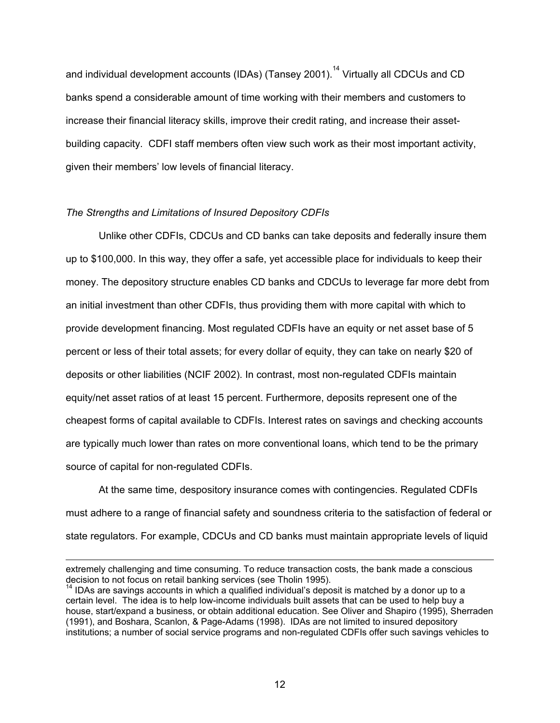and individual development accounts (IDAs) (Tansey 2001).<sup>14</sup> Virtually all CDCUs and CD banks spend a considerable amount of time working with their members and customers to increase their financial literacy skills, improve their credit rating, and increase their assetbuilding capacity. CDFI staff members often view such work as their most important activity, given their members' low levels of financial literacy.

### *The Strengths and Limitations of Insured Depository CDFIs*

 $\overline{a}$ 

Unlike other CDFIs, CDCUs and CD banks can take deposits and federally insure them up to \$100,000. In this way, they offer a safe, yet accessible place for individuals to keep their money. The depository structure enables CD banks and CDCUs to leverage far more debt from an initial investment than other CDFIs, thus providing them with more capital with which to provide development financing. Most regulated CDFIs have an equity or net asset base of 5 percent or less of their total assets; for every dollar of equity, they can take on nearly \$20 of deposits or other liabilities (NCIF 2002). In contrast, most non-regulated CDFIs maintain equity/net asset ratios of at least 15 percent. Furthermore, deposits represent one of the cheapest forms of capital available to CDFIs. Interest rates on savings and checking accounts are typically much lower than rates on more conventional loans, which tend to be the primary source of capital for non-regulated CDFIs.

At the same time, despository insurance comes with contingencies. Regulated CDFIs must adhere to a range of financial safety and soundness criteria to the satisfaction of federal or state regulators. For example, CDCUs and CD banks must maintain appropriate levels of liquid

extremely challenging and time consuming. To reduce transaction costs, the bank made a conscious decision to not focus on retail banking services (see Tholin 1995).

 $14$  IDAs are savings accounts in which a qualified individual's deposit is matched by a donor up to a certain level. The idea is to help low-income individuals built assets that can be used to help buy a house, start/expand a business, or obtain additional education. See Oliver and Shapiro (1995), Sherraden (1991), and Boshara, Scanlon, & Page-Adams (1998). IDAs are not limited to insured depository institutions; a number of social service programs and non-regulated CDFIs offer such savings vehicles to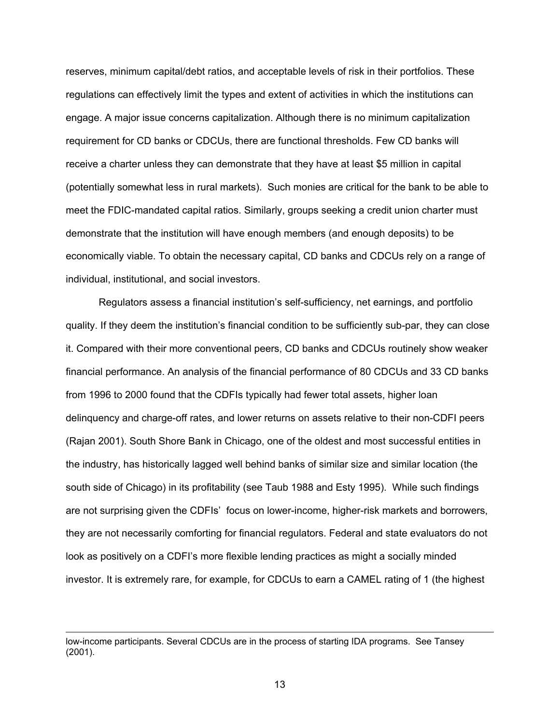reserves, minimum capital/debt ratios, and acceptable levels of risk in their portfolios. These regulations can effectively limit the types and extent of activities in which the institutions can engage. A major issue concerns capitalization. Although there is no minimum capitalization requirement for CD banks or CDCUs, there are functional thresholds. Few CD banks will receive a charter unless they can demonstrate that they have at least \$5 million in capital (potentially somewhat less in rural markets). Such monies are critical for the bank to be able to meet the FDIC-mandated capital ratios. Similarly, groups seeking a credit union charter must demonstrate that the institution will have enough members (and enough deposits) to be economically viable. To obtain the necessary capital, CD banks and CDCUs rely on a range of individual, institutional, and social investors.

Regulators assess a financial institution's self-sufficiency, net earnings, and portfolio quality. If they deem the institution's financial condition to be sufficiently sub-par, they can close it. Compared with their more conventional peers, CD banks and CDCUs routinely show weaker financial performance. An analysis of the financial performance of 80 CDCUs and 33 CD banks from 1996 to 2000 found that the CDFIs typically had fewer total assets, higher loan delinquency and charge-off rates, and lower returns on assets relative to their non-CDFI peers (Rajan 2001). South Shore Bank in Chicago, one of the oldest and most successful entities in the industry, has historically lagged well behind banks of similar size and similar location (the south side of Chicago) in its profitability (see Taub 1988 and Esty 1995). While such findings are not surprising given the CDFIs' focus on lower-income, higher-risk markets and borrowers, they are not necessarily comforting for financial regulators. Federal and state evaluators do not look as positively on a CDFI's more flexible lending practices as might a socially minded investor. It is extremely rare, for example, for CDCUs to earn a CAMEL rating of 1 (the highest

 $\overline{a}$ 

low-income participants. Several CDCUs are in the process of starting IDA programs. See Tansey (2001).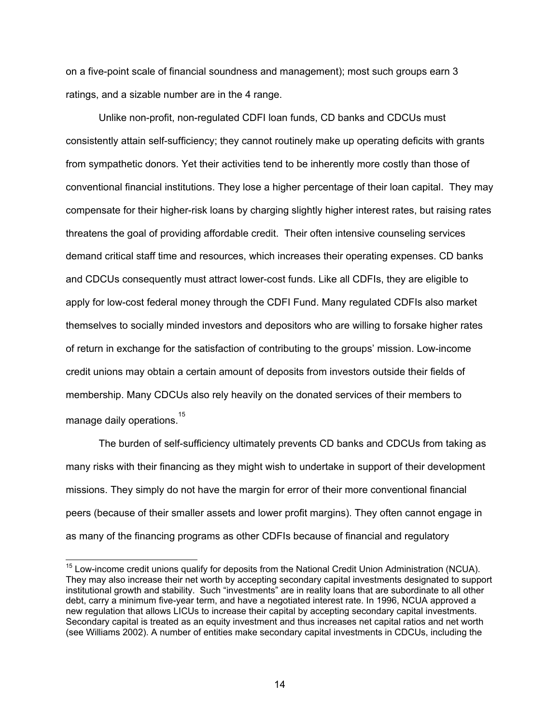on a five-point scale of financial soundness and management); most such groups earn 3 ratings, and a sizable number are in the 4 range.

Unlike non-profit, non-regulated CDFI loan funds, CD banks and CDCUs must consistently attain self-sufficiency; they cannot routinely make up operating deficits with grants from sympathetic donors. Yet their activities tend to be inherently more costly than those of conventional financial institutions. They lose a higher percentage of their loan capital. They may compensate for their higher-risk loans by charging slightly higher interest rates, but raising rates threatens the goal of providing affordable credit. Their often intensive counseling services demand critical staff time and resources, which increases their operating expenses. CD banks and CDCUs consequently must attract lower-cost funds. Like all CDFIs, they are eligible to apply for low-cost federal money through the CDFI Fund. Many regulated CDFIs also market themselves to socially minded investors and depositors who are willing to forsake higher rates of return in exchange for the satisfaction of contributing to the groups' mission. Low-income credit unions may obtain a certain amount of deposits from investors outside their fields of membership. Many CDCUs also rely heavily on the donated services of their members to manage daily operations.<sup>15</sup>

The burden of self-sufficiency ultimately prevents CD banks and CDCUs from taking as many risks with their financing as they might wish to undertake in support of their development missions. They simply do not have the margin for error of their more conventional financial peers (because of their smaller assets and lower profit margins). They often cannot engage in as many of the financing programs as other CDFIs because of financial and regulatory

 $\overline{a}$ 

<sup>&</sup>lt;sup>15</sup> Low-income credit unions qualify for deposits from the National Credit Union Administration (NCUA). They may also increase their net worth by accepting secondary capital investments designated to support institutional growth and stability. Such "investments" are in reality loans that are subordinate to all other debt, carry a minimum five-year term, and have a negotiated interest rate. In 1996, NCUA approved a new regulation that allows LICUs to increase their capital by accepting secondary capital investments. Secondary capital is treated as an equity investment and thus increases net capital ratios and net worth (see Williams 2002). A number of entities make secondary capital investments in CDCUs, including the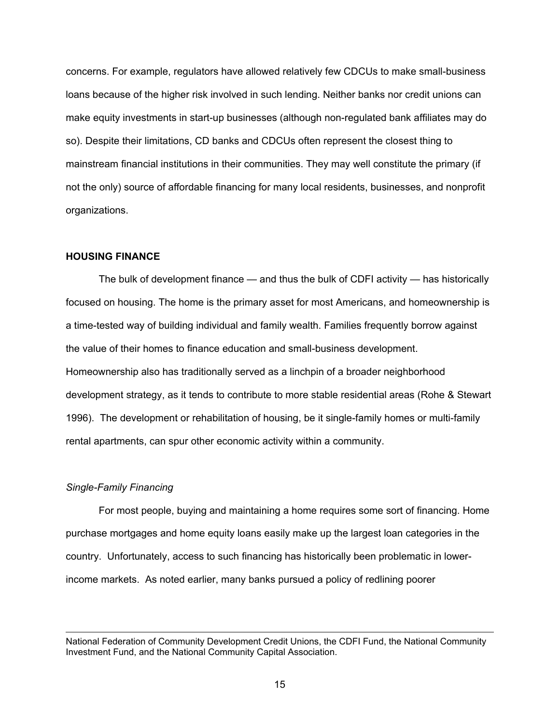concerns. For example, regulators have allowed relatively few CDCUs to make small-business loans because of the higher risk involved in such lending. Neither banks nor credit unions can make equity investments in start-up businesses (although non-regulated bank affiliates may do so). Despite their limitations, CD banks and CDCUs often represent the closest thing to mainstream financial institutions in their communities. They may well constitute the primary (if not the only) source of affordable financing for many local residents, businesses, and nonprofit organizations.

## **HOUSING FINANCE**

 The bulk of development finance — and thus the bulk of CDFI activity — has historically focused on housing. The home is the primary asset for most Americans, and homeownership is a time-tested way of building individual and family wealth. Families frequently borrow against the value of their homes to finance education and small-business development. Homeownership also has traditionally served as a linchpin of a broader neighborhood development strategy, as it tends to contribute to more stable residential areas (Rohe & Stewart 1996). The development or rehabilitation of housing, be it single-family homes or multi-family rental apartments, can spur other economic activity within a community.

#### *Single-Family Financing*

 $\overline{a}$ 

 For most people, buying and maintaining a home requires some sort of financing. Home purchase mortgages and home equity loans easily make up the largest loan categories in the country. Unfortunately, access to such financing has historically been problematic in lowerincome markets. As noted earlier, many banks pursued a policy of redlining poorer

National Federation of Community Development Credit Unions, the CDFI Fund, the National Community Investment Fund, and the National Community Capital Association.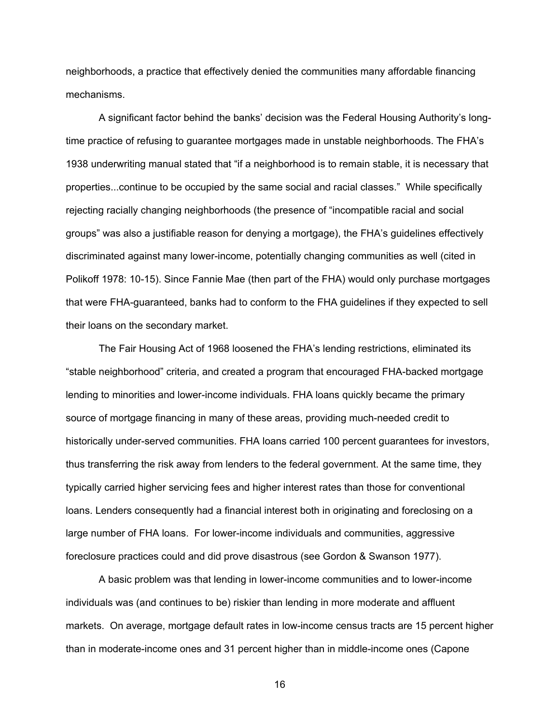neighborhoods, a practice that effectively denied the communities many affordable financing mechanisms.

A significant factor behind the banks' decision was the Federal Housing Authority's longtime practice of refusing to guarantee mortgages made in unstable neighborhoods. The FHA's 1938 underwriting manual stated that "if a neighborhood is to remain stable, it is necessary that properties...continue to be occupied by the same social and racial classes." While specifically rejecting racially changing neighborhoods (the presence of "incompatible racial and social groups" was also a justifiable reason for denying a mortgage), the FHA's guidelines effectively discriminated against many lower-income, potentially changing communities as well (cited in Polikoff 1978: 10-15). Since Fannie Mae (then part of the FHA) would only purchase mortgages that were FHA-guaranteed, banks had to conform to the FHA guidelines if they expected to sell their loans on the secondary market.

 The Fair Housing Act of 1968 loosened the FHA's lending restrictions, eliminated its "stable neighborhood" criteria, and created a program that encouraged FHA-backed mortgage lending to minorities and lower-income individuals. FHA loans quickly became the primary source of mortgage financing in many of these areas, providing much-needed credit to historically under-served communities. FHA loans carried 100 percent guarantees for investors, thus transferring the risk away from lenders to the federal government. At the same time, they typically carried higher servicing fees and higher interest rates than those for conventional loans. Lenders consequently had a financial interest both in originating and foreclosing on a large number of FHA loans. For lower-income individuals and communities, aggressive foreclosure practices could and did prove disastrous (see Gordon & Swanson 1977).

 A basic problem was that lending in lower-income communities and to lower-income individuals was (and continues to be) riskier than lending in more moderate and affluent markets. On average, mortgage default rates in low-income census tracts are 15 percent higher than in moderate-income ones and 31 percent higher than in middle-income ones (Capone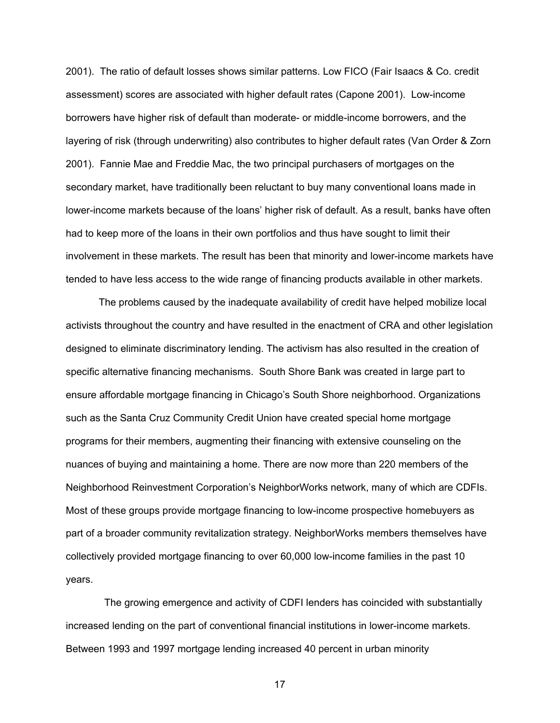2001). The ratio of default losses shows similar patterns. Low FICO (Fair Isaacs & Co. credit assessment) scores are associated with higher default rates (Capone 2001). Low-income borrowers have higher risk of default than moderate- or middle-income borrowers, and the layering of risk (through underwriting) also contributes to higher default rates (Van Order & Zorn 2001). Fannie Mae and Freddie Mac, the two principal purchasers of mortgages on the secondary market, have traditionally been reluctant to buy many conventional loans made in lower-income markets because of the loans' higher risk of default. As a result, banks have often had to keep more of the loans in their own portfolios and thus have sought to limit their involvement in these markets. The result has been that minority and lower-income markets have tended to have less access to the wide range of financing products available in other markets.

The problems caused by the inadequate availability of credit have helped mobilize local activists throughout the country and have resulted in the enactment of CRA and other legislation designed to eliminate discriminatory lending. The activism has also resulted in the creation of specific alternative financing mechanisms. South Shore Bank was created in large part to ensure affordable mortgage financing in Chicago's South Shore neighborhood. Organizations such as the Santa Cruz Community Credit Union have created special home mortgage programs for their members, augmenting their financing with extensive counseling on the nuances of buying and maintaining a home. There are now more than 220 members of the Neighborhood Reinvestment Corporation's NeighborWorks network, many of which are CDFIs. Most of these groups provide mortgage financing to low-income prospective homebuyers as part of a broader community revitalization strategy. NeighborWorks members themselves have collectively provided mortgage financing to over 60,000 low-income families in the past 10 years.

 The growing emergence and activity of CDFI lenders has coincided with substantially increased lending on the part of conventional financial institutions in lower-income markets. Between 1993 and 1997 mortgage lending increased 40 percent in urban minority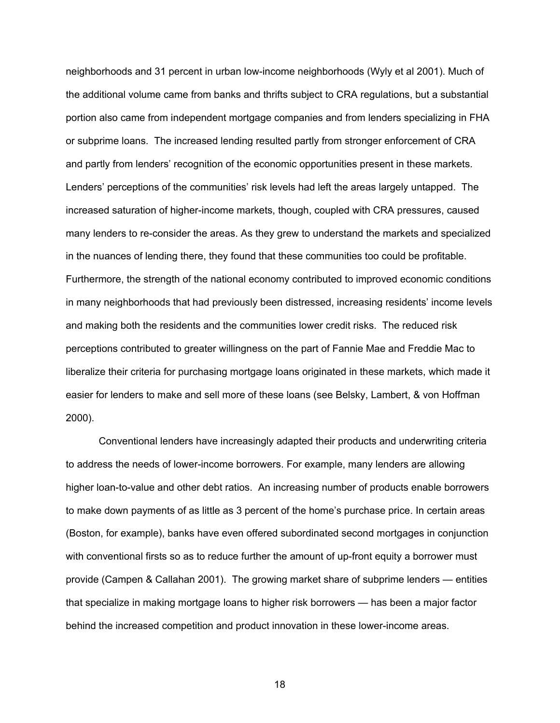neighborhoods and 31 percent in urban low-income neighborhoods (Wyly et al 2001). Much of the additional volume came from banks and thrifts subject to CRA regulations, but a substantial portion also came from independent mortgage companies and from lenders specializing in FHA or subprime loans. The increased lending resulted partly from stronger enforcement of CRA and partly from lenders' recognition of the economic opportunities present in these markets. Lenders' perceptions of the communities' risk levels had left the areas largely untapped. The increased saturation of higher-income markets, though, coupled with CRA pressures, caused many lenders to re-consider the areas. As they grew to understand the markets and specialized in the nuances of lending there, they found that these communities too could be profitable. Furthermore, the strength of the national economy contributed to improved economic conditions in many neighborhoods that had previously been distressed, increasing residents' income levels and making both the residents and the communities lower credit risks. The reduced risk perceptions contributed to greater willingness on the part of Fannie Mae and Freddie Mac to liberalize their criteria for purchasing mortgage loans originated in these markets, which made it easier for lenders to make and sell more of these loans (see Belsky, Lambert, & von Hoffman 2000).

 Conventional lenders have increasingly adapted their products and underwriting criteria to address the needs of lower-income borrowers. For example, many lenders are allowing higher loan-to-value and other debt ratios. An increasing number of products enable borrowers to make down payments of as little as 3 percent of the home's purchase price. In certain areas (Boston, for example), banks have even offered subordinated second mortgages in conjunction with conventional firsts so as to reduce further the amount of up-front equity a borrower must provide (Campen & Callahan 2001). The growing market share of subprime lenders — entities that specialize in making mortgage loans to higher risk borrowers — has been a major factor behind the increased competition and product innovation in these lower-income areas.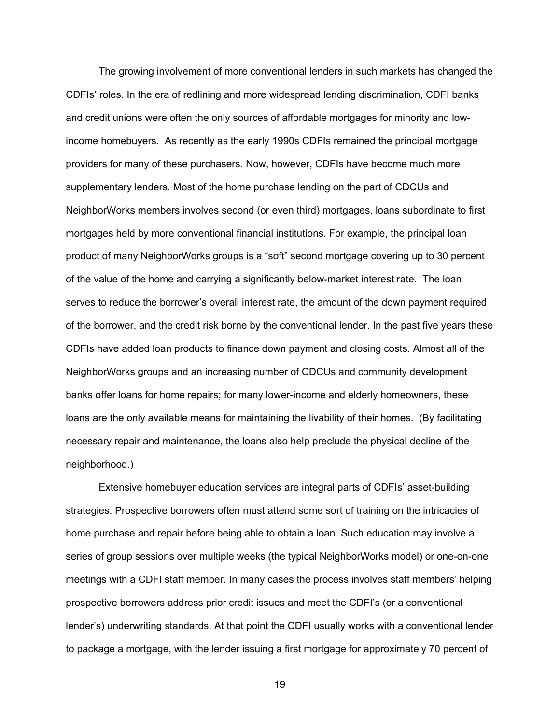The growing involvement of more conventional lenders in such markets has changed the CDFIs' roles. In the era of redlining and more widespread lending discrimination, CDFI banks and credit unions were often the only sources of affordable mortgages for minority and lowincome homebuyers. As recently as the early 1990s CDFIs remained the principal mortgage providers for many of these purchasers. Now, however, CDFIs have become much more supplementary lenders. Most of the home purchase lending on the part of CDCUs and NeighborWorks members involves second (or even third) mortgages, loans subordinate to first mortgages held by more conventional financial institutions. For example, the principal loan product of many NeighborWorks groups is a "soft" second mortgage covering up to 30 percent of the value of the home and carrying a significantly below-market interest rate. The loan serves to reduce the borrower's overall interest rate, the amount of the down payment required of the borrower, and the credit risk borne by the conventional lender. In the past five years these CDFIs have added loan products to finance down payment and closing costs. Almost all of the NeighborWorks groups and an increasing number of CDCUs and community development banks offer loans for home repairs; for many lower-income and elderly homeowners, these loans are the only available means for maintaining the livability of their homes. (By facilitating necessary repair and maintenance, the loans also help preclude the physical decline of the neighborhood.)

 Extensive homebuyer education services are integral parts of CDFIs' asset-building strategies. Prospective borrowers often must attend some sort of training on the intricacies of home purchase and repair before being able to obtain a loan. Such education may involve a series of group sessions over multiple weeks (the typical NeighborWorks model) or one-on-one meetings with a CDFI staff member. In many cases the process involves staff members' helping prospective borrowers address prior credit issues and meet the CDFI's (or a conventional lender's) underwriting standards. At that point the CDFI usually works with a conventional lender to package a mortgage, with the lender issuing a first mortgage for approximately 70 percent of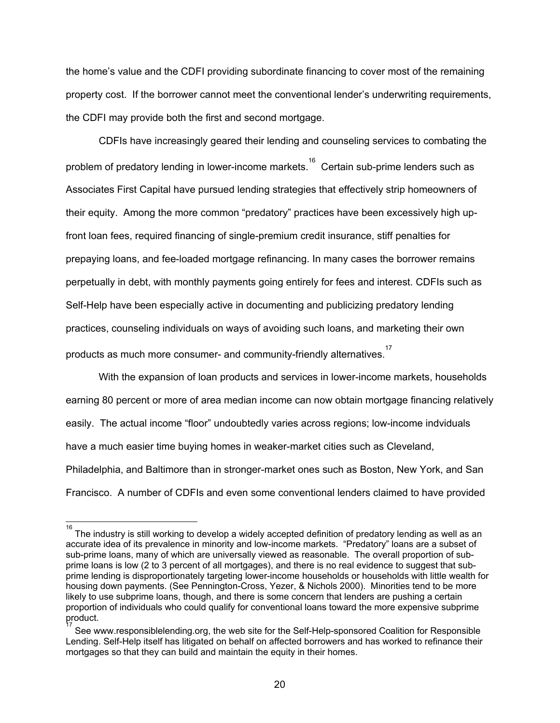the home's value and the CDFI providing subordinate financing to cover most of the remaining property cost. If the borrower cannot meet the conventional lender's underwriting requirements, the CDFI may provide both the first and second mortgage.

 CDFIs have increasingly geared their lending and counseling services to combating the problem of predatory lending in lower-income markets.<sup>16</sup> Certain sub-prime lenders such as Associates First Capital have pursued lending strategies that effectively strip homeowners of their equity. Among the more common "predatory" practices have been excessively high upfront loan fees, required financing of single-premium credit insurance, stiff penalties for prepaying loans, and fee-loaded mortgage refinancing. In many cases the borrower remains perpetually in debt, with monthly payments going entirely for fees and interest. CDFIs such as Self-Help have been especially active in documenting and publicizing predatory lending practices, counseling individuals on ways of avoiding such loans, and marketing their own products as much more consumer- and community-friendly alternatives. $^{17}$ 

 With the expansion of loan products and services in lower-income markets, households earning 80 percent or more of area median income can now obtain mortgage financing relatively easily. The actual income "floor" undoubtedly varies across regions; low-income indviduals have a much easier time buying homes in weaker-market cities such as Cleveland, Philadelphia, and Baltimore than in stronger-market ones such as Boston, New York, and San Francisco. A number of CDFIs and even some conventional lenders claimed to have provided

<sup>16&</sup>lt;br>The industry is still working to develop a widely accepted definition of predatory lending as well as an accurate idea of its prevalence in minority and low-income markets. "Predatory" loans are a subset of sub-prime loans, many of which are universally viewed as reasonable. The overall proportion of subprime loans is low (2 to 3 percent of all mortgages), and there is no real evidence to suggest that subprime lending is disproportionately targeting lower-income households or households with little wealth for housing down payments. (See Pennington-Cross, Yezer, & Nichols 2000). Minorities tend to be more likely to use subprime loans, though, and there is some concern that lenders are pushing a certain proportion of individuals who could qualify for conventional loans toward the more expensive subprime product. 17

See www.responsiblelending.org, the web site for the Self-Help-sponsored Coalition for Responsible Lending. Self-Help itself has litigated on behalf on affected borrowers and has worked to refinance their mortgages so that they can build and maintain the equity in their homes.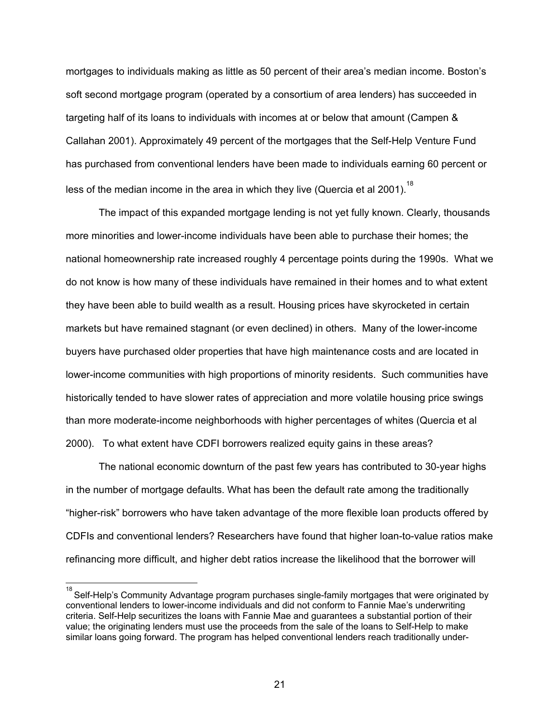mortgages to individuals making as little as 50 percent of their area's median income. Boston's soft second mortgage program (operated by a consortium of area lenders) has succeeded in targeting half of its loans to individuals with incomes at or below that amount (Campen & Callahan 2001). Approximately 49 percent of the mortgages that the Self-Help Venture Fund has purchased from conventional lenders have been made to individuals earning 60 percent or less of the median income in the area in which they live (Quercia et al 2001).<sup>18</sup>

 The impact of this expanded mortgage lending is not yet fully known. Clearly, thousands more minorities and lower-income individuals have been able to purchase their homes; the national homeownership rate increased roughly 4 percentage points during the 1990s. What we do not know is how many of these individuals have remained in their homes and to what extent they have been able to build wealth as a result. Housing prices have skyrocketed in certain markets but have remained stagnant (or even declined) in others. Many of the lower-income buyers have purchased older properties that have high maintenance costs and are located in lower-income communities with high proportions of minority residents. Such communities have historically tended to have slower rates of appreciation and more volatile housing price swings than more moderate-income neighborhoods with higher percentages of whites (Quercia et al 2000). To what extent have CDFI borrowers realized equity gains in these areas?

 The national economic downturn of the past few years has contributed to 30-year highs in the number of mortgage defaults. What has been the default rate among the traditionally "higher-risk" borrowers who have taken advantage of the more flexible loan products offered by CDFIs and conventional lenders? Researchers have found that higher loan-to-value ratios make refinancing more difficult, and higher debt ratios increase the likelihood that the borrower will

 $\overline{a}$ 

<sup>18</sup> Self-Help's Community Advantage program purchases single-family mortgages that were originated by conventional lenders to lower-income individuals and did not conform to Fannie Mae's underwriting criteria. Self-Help securitizes the loans with Fannie Mae and guarantees a substantial portion of their value; the originating lenders must use the proceeds from the sale of the loans to Self-Help to make similar loans going forward. The program has helped conventional lenders reach traditionally under-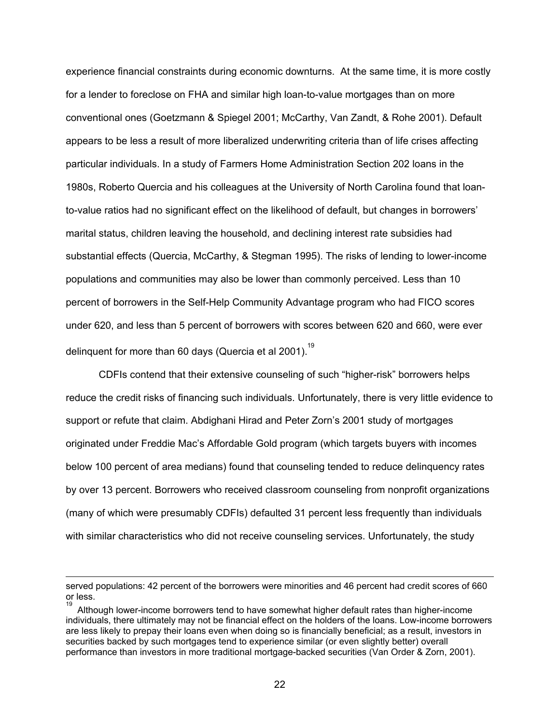experience financial constraints during economic downturns. At the same time, it is more costly for a lender to foreclose on FHA and similar high loan-to-value mortgages than on more conventional ones (Goetzmann & Spiegel 2001; McCarthy, Van Zandt, & Rohe 2001). Default appears to be less a result of more liberalized underwriting criteria than of life crises affecting particular individuals. In a study of Farmers Home Administration Section 202 loans in the 1980s, Roberto Quercia and his colleagues at the University of North Carolina found that loanto-value ratios had no significant effect on the likelihood of default, but changes in borrowers' marital status, children leaving the household, and declining interest rate subsidies had substantial effects (Quercia, McCarthy, & Stegman 1995). The risks of lending to lower-income populations and communities may also be lower than commonly perceived. Less than 10 percent of borrowers in the Self-Help Community Advantage program who had FICO scores under 620, and less than 5 percent of borrowers with scores between 620 and 660, were ever delinquent for more than 60 days (Quercia et al 2001).<sup>19</sup>

 CDFIs contend that their extensive counseling of such "higher-risk" borrowers helps reduce the credit risks of financing such individuals. Unfortunately, there is very little evidence to support or refute that claim. Abdighani Hirad and Peter Zorn's 2001 study of mortgages originated under Freddie Mac's Affordable Gold program (which targets buyers with incomes below 100 percent of area medians) found that counseling tended to reduce delinquency rates by over 13 percent. Borrowers who received classroom counseling from nonprofit organizations (many of which were presumably CDFIs) defaulted 31 percent less frequently than individuals with similar characteristics who did not receive counseling services. Unfortunately, the study

 $\overline{a}$ 

served populations: 42 percent of the borrowers were minorities and 46 percent had credit scores of 660 or less.

<sup>19</sup> Although lower-income borrowers tend to have somewhat higher default rates than higher-income individuals, there ultimately may not be financial effect on the holders of the loans. Low-income borrowers are less likely to prepay their loans even when doing so is financially beneficial; as a result, investors in securities backed by such mortgages tend to experience similar (or even slightly better) overall performance than investors in more traditional mortgage-backed securities (Van Order & Zorn, 2001).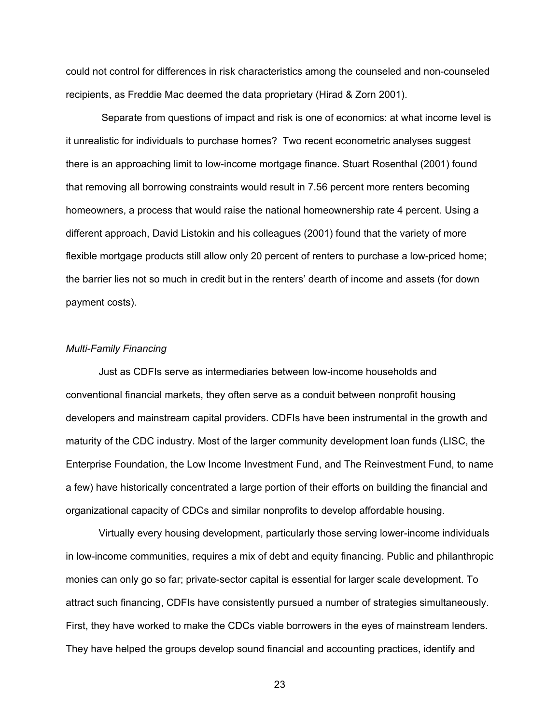could not control for differences in risk characteristics among the counseled and non-counseled recipients, as Freddie Mac deemed the data proprietary (Hirad & Zorn 2001).

 Separate from questions of impact and risk is one of economics: at what income level is it unrealistic for individuals to purchase homes? Two recent econometric analyses suggest there is an approaching limit to low-income mortgage finance. Stuart Rosenthal (2001) found that removing all borrowing constraints would result in 7.56 percent more renters becoming homeowners, a process that would raise the national homeownership rate 4 percent. Using a different approach, David Listokin and his colleagues (2001) found that the variety of more flexible mortgage products still allow only 20 percent of renters to purchase a low-priced home; the barrier lies not so much in credit but in the renters' dearth of income and assets (for down payment costs).

### *Multi-Family Financing*

 Just as CDFIs serve as intermediaries between low-income households and conventional financial markets, they often serve as a conduit between nonprofit housing developers and mainstream capital providers. CDFIs have been instrumental in the growth and maturity of the CDC industry. Most of the larger community development loan funds (LISC, the Enterprise Foundation, the Low Income Investment Fund, and The Reinvestment Fund, to name a few) have historically concentrated a large portion of their efforts on building the financial and organizational capacity of CDCs and similar nonprofits to develop affordable housing.

Virtually every housing development, particularly those serving lower-income individuals in low-income communities, requires a mix of debt and equity financing. Public and philanthropic monies can only go so far; private-sector capital is essential for larger scale development. To attract such financing, CDFIs have consistently pursued a number of strategies simultaneously. First, they have worked to make the CDCs viable borrowers in the eyes of mainstream lenders. They have helped the groups develop sound financial and accounting practices, identify and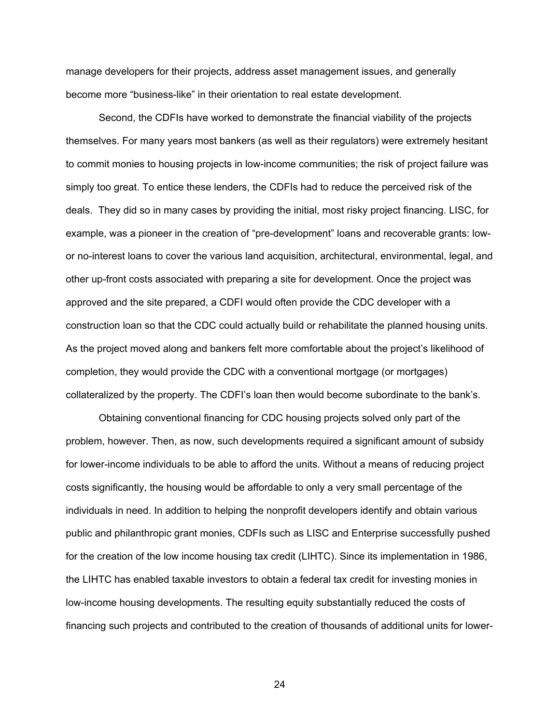manage developers for their projects, address asset management issues, and generally become more "business-like" in their orientation to real estate development.

 Second, the CDFIs have worked to demonstrate the financial viability of the projects themselves. For many years most bankers (as well as their regulators) were extremely hesitant to commit monies to housing projects in low-income communities; the risk of project failure was simply too great. To entice these lenders, the CDFIs had to reduce the perceived risk of the deals. They did so in many cases by providing the initial, most risky project financing. LISC, for example, was a pioneer in the creation of "pre-development" loans and recoverable grants: lowor no-interest loans to cover the various land acquisition, architectural, environmental, legal, and other up-front costs associated with preparing a site for development. Once the project was approved and the site prepared, a CDFI would often provide the CDC developer with a construction loan so that the CDC could actually build or rehabilitate the planned housing units. As the project moved along and bankers felt more comfortable about the project's likelihood of completion, they would provide the CDC with a conventional mortgage (or mortgages) collateralized by the property. The CDFI's loan then would become subordinate to the bank's.

 Obtaining conventional financing for CDC housing projects solved only part of the problem, however. Then, as now, such developments required a significant amount of subsidy for lower-income individuals to be able to afford the units. Without a means of reducing project costs significantly, the housing would be affordable to only a very small percentage of the individuals in need. In addition to helping the nonprofit developers identify and obtain various public and philanthropic grant monies, CDFIs such as LISC and Enterprise successfully pushed for the creation of the low income housing tax credit (LIHTC). Since its implementation in 1986, the LIHTC has enabled taxable investors to obtain a federal tax credit for investing monies in low-income housing developments. The resulting equity substantially reduced the costs of financing such projects and contributed to the creation of thousands of additional units for lower-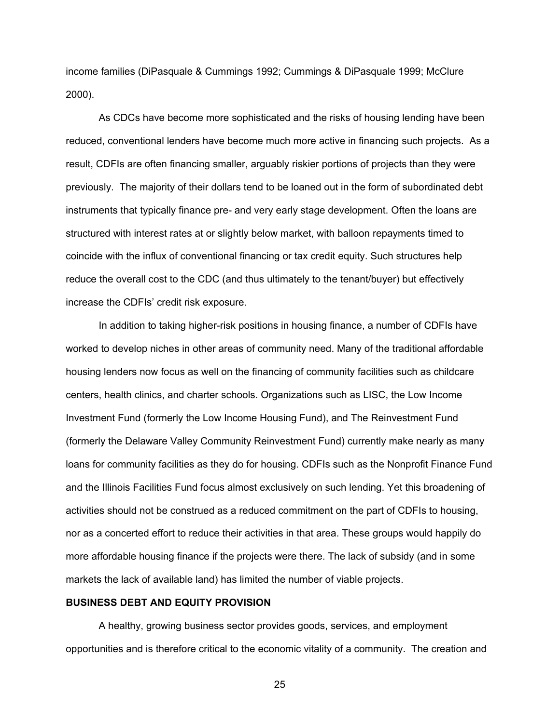income families (DiPasquale & Cummings 1992; Cummings & DiPasquale 1999; McClure 2000).

As CDCs have become more sophisticated and the risks of housing lending have been reduced, conventional lenders have become much more active in financing such projects. As a result, CDFIs are often financing smaller, arguably riskier portions of projects than they were previously. The majority of their dollars tend to be loaned out in the form of subordinated debt instruments that typically finance pre- and very early stage development. Often the loans are structured with interest rates at or slightly below market, with balloon repayments timed to coincide with the influx of conventional financing or tax credit equity. Such structures help reduce the overall cost to the CDC (and thus ultimately to the tenant/buyer) but effectively increase the CDFIs' credit risk exposure.

In addition to taking higher-risk positions in housing finance, a number of CDFIs have worked to develop niches in other areas of community need. Many of the traditional affordable housing lenders now focus as well on the financing of community facilities such as childcare centers, health clinics, and charter schools. Organizations such as LISC, the Low Income Investment Fund (formerly the Low Income Housing Fund), and The Reinvestment Fund (formerly the Delaware Valley Community Reinvestment Fund) currently make nearly as many loans for community facilities as they do for housing. CDFIs such as the Nonprofit Finance Fund and the Illinois Facilities Fund focus almost exclusively on such lending. Yet this broadening of activities should not be construed as a reduced commitment on the part of CDFIs to housing, nor as a concerted effort to reduce their activities in that area. These groups would happily do more affordable housing finance if the projects were there. The lack of subsidy (and in some markets the lack of available land) has limited the number of viable projects.

### **BUSINESS DEBT AND EQUITY PROVISION**

A healthy, growing business sector provides goods, services, and employment opportunities and is therefore critical to the economic vitality of a community. The creation and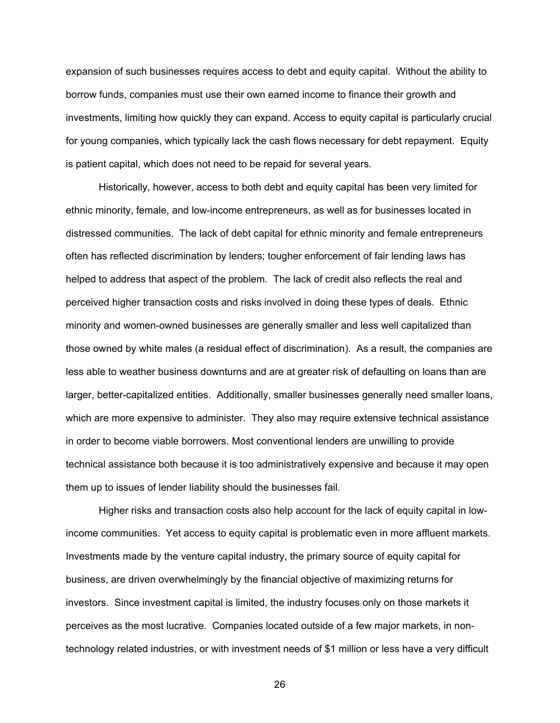expansion of such businesses requires access to debt and equity capital. Without the ability to borrow funds, companies must use their own earned income to finance their growth and investments, limiting how quickly they can expand. Access to equity capital is particularly crucial for young companies, which typically lack the cash flows necessary for debt repayment. Equity is patient capital, which does not need to be repaid for several years.

Historically, however, access to both debt and equity capital has been very limited for ethnic minority, female, and low-income entrepreneurs, as well as for businesses located in distressed communities. The lack of debt capital for ethnic minority and female entrepreneurs often has reflected discrimination by lenders; tougher enforcement of fair lending laws has helped to address that aspect of the problem. The lack of credit also reflects the real and perceived higher transaction costs and risks involved in doing these types of deals. Ethnic minority and women-owned businesses are generally smaller and less well capitalized than those owned by white males (a residual effect of discrimination). As a result, the companies are less able to weather business downturns and are at greater risk of defaulting on loans than are larger, better-capitalized entities. Additionally, smaller businesses generally need smaller loans, which are more expensive to administer. They also may require extensive technical assistance in order to become viable borrowers. Most conventional lenders are unwilling to provide technical assistance both because it is too administratively expensive and because it may open them up to issues of lender liability should the businesses fail.

Higher risks and transaction costs also help account for the lack of equity capital in lowincome communities. Yet access to equity capital is problematic even in more affluent markets. Investments made by the venture capital industry, the primary source of equity capital for business, are driven overwhelmingly by the financial objective of maximizing returns for investors. Since investment capital is limited, the industry focuses only on those markets it perceives as the most lucrative. Companies located outside of a few major markets, in nontechnology related industries, or with investment needs of \$1 million or less have a very difficult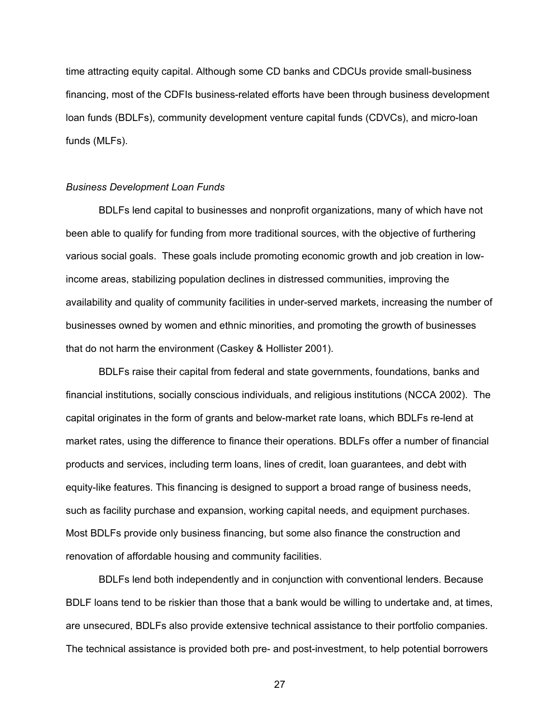time attracting equity capital. Although some CD banks and CDCUs provide small-business financing, most of the CDFIs business-related efforts have been through business development loan funds (BDLFs), community development venture capital funds (CDVCs), and micro-loan funds (MLFs).

#### *Business Development Loan Funds*

BDLFs lend capital to businesses and nonprofit organizations, many of which have not been able to qualify for funding from more traditional sources, with the objective of furthering various social goals. These goals include promoting economic growth and job creation in lowincome areas, stabilizing population declines in distressed communities, improving the availability and quality of community facilities in under-served markets, increasing the number of businesses owned by women and ethnic minorities, and promoting the growth of businesses that do not harm the environment (Caskey & Hollister 2001).

BDLFs raise their capital from federal and state governments, foundations, banks and financial institutions, socially conscious individuals, and religious institutions (NCCA 2002). The capital originates in the form of grants and below-market rate loans, which BDLFs re-lend at market rates, using the difference to finance their operations. BDLFs offer a number of financial products and services, including term loans, lines of credit, loan guarantees, and debt with equity-like features. This financing is designed to support a broad range of business needs, such as facility purchase and expansion, working capital needs, and equipment purchases. Most BDLFs provide only business financing, but some also finance the construction and renovation of affordable housing and community facilities.

BDLFs lend both independently and in conjunction with conventional lenders. Because BDLF loans tend to be riskier than those that a bank would be willing to undertake and, at times, are unsecured, BDLFs also provide extensive technical assistance to their portfolio companies. The technical assistance is provided both pre- and post-investment, to help potential borrowers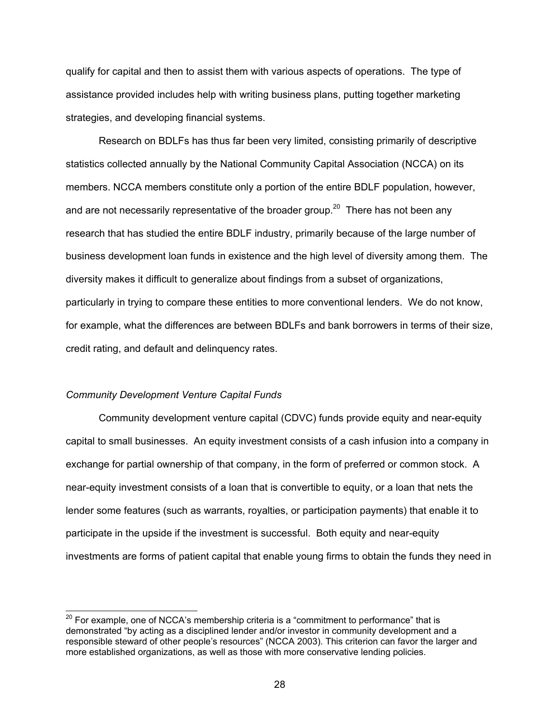qualify for capital and then to assist them with various aspects of operations. The type of assistance provided includes help with writing business plans, putting together marketing strategies, and developing financial systems.

Research on BDLFs has thus far been very limited, consisting primarily of descriptive statistics collected annually by the National Community Capital Association (NCCA) on its members. NCCA members constitute only a portion of the entire BDLF population, however, and are not necessarily representative of the broader group.<sup>20</sup> There has not been any research that has studied the entire BDLF industry, primarily because of the large number of business development loan funds in existence and the high level of diversity among them. The diversity makes it difficult to generalize about findings from a subset of organizations, particularly in trying to compare these entities to more conventional lenders. We do not know, for example, what the differences are between BDLFs and bank borrowers in terms of their size, credit rating, and default and delinquency rates.

#### *Community Development Venture Capital Funds*

 $\overline{a}$ 

Community development venture capital (CDVC) funds provide equity and near-equity capital to small businesses. An equity investment consists of a cash infusion into a company in exchange for partial ownership of that company, in the form of preferred or common stock. A near-equity investment consists of a loan that is convertible to equity, or a loan that nets the lender some features (such as warrants, royalties, or participation payments) that enable it to participate in the upside if the investment is successful. Both equity and near-equity investments are forms of patient capital that enable young firms to obtain the funds they need in

 $^{20}$  For example, one of NCCA's membership criteria is a "commitment to performance" that is demonstrated "by acting as a disciplined lender and/or investor in community development and a responsible steward of other people's resources" (NCCA 2003). This criterion can favor the larger and more established organizations, as well as those with more conservative lending policies.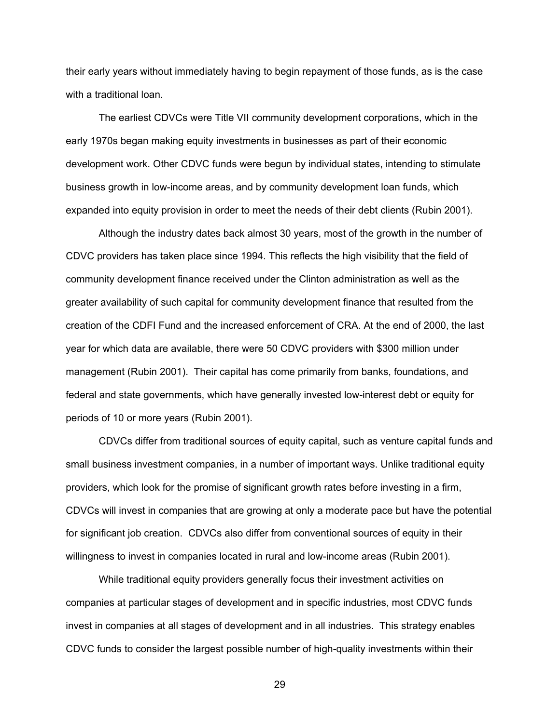their early years without immediately having to begin repayment of those funds, as is the case with a traditional loan.

The earliest CDVCs were Title VII community development corporations, which in the early 1970s began making equity investments in businesses as part of their economic development work. Other CDVC funds were begun by individual states, intending to stimulate business growth in low-income areas, and by community development loan funds, which expanded into equity provision in order to meet the needs of their debt clients (Rubin 2001).

Although the industry dates back almost 30 years, most of the growth in the number of CDVC providers has taken place since 1994. This reflects the high visibility that the field of community development finance received under the Clinton administration as well as the greater availability of such capital for community development finance that resulted from the creation of the CDFI Fund and the increased enforcement of CRA. At the end of 2000, the last year for which data are available, there were 50 CDVC providers with \$300 million under management (Rubin 2001). Their capital has come primarily from banks, foundations, and federal and state governments, which have generally invested low-interest debt or equity for periods of 10 or more years (Rubin 2001).

CDVCs differ from traditional sources of equity capital, such as venture capital funds and small business investment companies, in a number of important ways. Unlike traditional equity providers, which look for the promise of significant growth rates before investing in a firm, CDVCs will invest in companies that are growing at only a moderate pace but have the potential for significant job creation. CDVCs also differ from conventional sources of equity in their willingness to invest in companies located in rural and low-income areas (Rubin 2001).

While traditional equity providers generally focus their investment activities on companies at particular stages of development and in specific industries, most CDVC funds invest in companies at all stages of development and in all industries. This strategy enables CDVC funds to consider the largest possible number of high-quality investments within their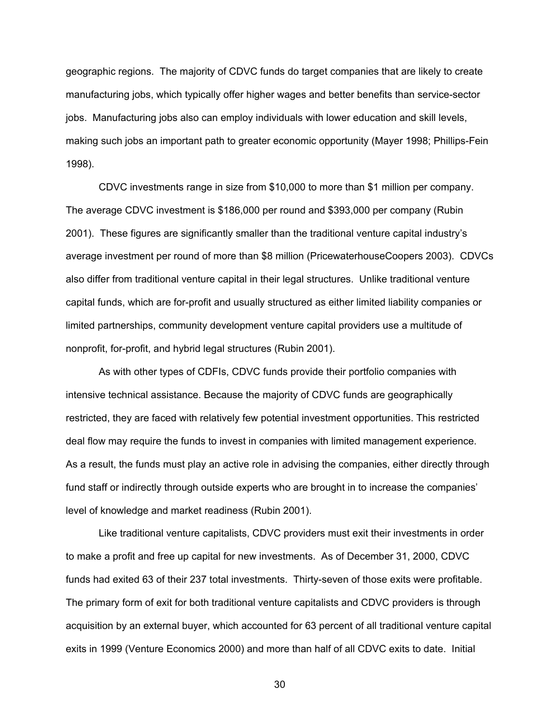geographic regions. The majority of CDVC funds do target companies that are likely to create manufacturing jobs, which typically offer higher wages and better benefits than service-sector jobs. Manufacturing jobs also can employ individuals with lower education and skill levels, making such jobs an important path to greater economic opportunity (Mayer 1998; Phillips-Fein 1998).

CDVC investments range in size from \$10,000 to more than \$1 million per company. The average CDVC investment is \$186,000 per round and \$393,000 per company (Rubin 2001). These figures are significantly smaller than the traditional venture capital industry's average investment per round of more than \$8 million (PricewaterhouseCoopers 2003). CDVCs also differ from traditional venture capital in their legal structures. Unlike traditional venture capital funds, which are for-profit and usually structured as either limited liability companies or limited partnerships, community development venture capital providers use a multitude of nonprofit, for-profit, and hybrid legal structures (Rubin 2001).

As with other types of CDFIs, CDVC funds provide their portfolio companies with intensive technical assistance. Because the majority of CDVC funds are geographically restricted, they are faced with relatively few potential investment opportunities. This restricted deal flow may require the funds to invest in companies with limited management experience. As a result, the funds must play an active role in advising the companies, either directly through fund staff or indirectly through outside experts who are brought in to increase the companies' level of knowledge and market readiness (Rubin 2001).

Like traditional venture capitalists, CDVC providers must exit their investments in order to make a profit and free up capital for new investments. As of December 31, 2000, CDVC funds had exited 63 of their 237 total investments. Thirty-seven of those exits were profitable. The primary form of exit for both traditional venture capitalists and CDVC providers is through acquisition by an external buyer, which accounted for 63 percent of all traditional venture capital exits in 1999 (Venture Economics 2000) and more than half of all CDVC exits to date. Initial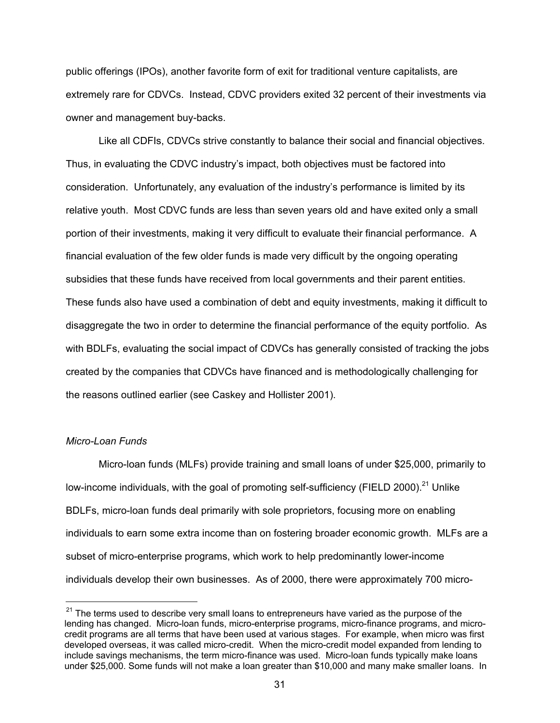public offerings (IPOs), another favorite form of exit for traditional venture capitalists, are extremely rare for CDVCs. Instead, CDVC providers exited 32 percent of their investments via owner and management buy-backs.

Like all CDFIs, CDVCs strive constantly to balance their social and financial objectives. Thus, in evaluating the CDVC industry's impact, both objectives must be factored into consideration. Unfortunately, any evaluation of the industry's performance is limited by its relative youth. Most CDVC funds are less than seven years old and have exited only a small portion of their investments, making it very difficult to evaluate their financial performance. A financial evaluation of the few older funds is made very difficult by the ongoing operating subsidies that these funds have received from local governments and their parent entities. These funds also have used a combination of debt and equity investments, making it difficult to disaggregate the two in order to determine the financial performance of the equity portfolio. As with BDLFs, evaluating the social impact of CDVCs has generally consisted of tracking the jobs created by the companies that CDVCs have financed and is methodologically challenging for the reasons outlined earlier (see Caskey and Hollister 2001).

#### *Micro-Loan Funds*

Micro-loan funds (MLFs) provide training and small loans of under \$25,000, primarily to low-income individuals, with the goal of promoting self-sufficiency (FIELD 2000).<sup>21</sup> Unlike BDLFs, micro-loan funds deal primarily with sole proprietors, focusing more on enabling individuals to earn some extra income than on fostering broader economic growth. MLFs are a subset of micro-enterprise programs, which work to help predominantly lower-income individuals develop their own businesses. As of 2000, there were approximately 700 micro-

 $21$  The terms used to describe very small loans to entrepreneurs have varied as the purpose of the lending has changed. Micro-loan funds, micro-enterprise programs, micro-finance programs, and microcredit programs are all terms that have been used at various stages. For example, when micro was first developed overseas, it was called micro-credit. When the micro-credit model expanded from lending to include savings mechanisms, the term micro-finance was used. Micro-loan funds typically make loans under \$25,000. Some funds will not make a loan greater than \$10,000 and many make smaller loans. In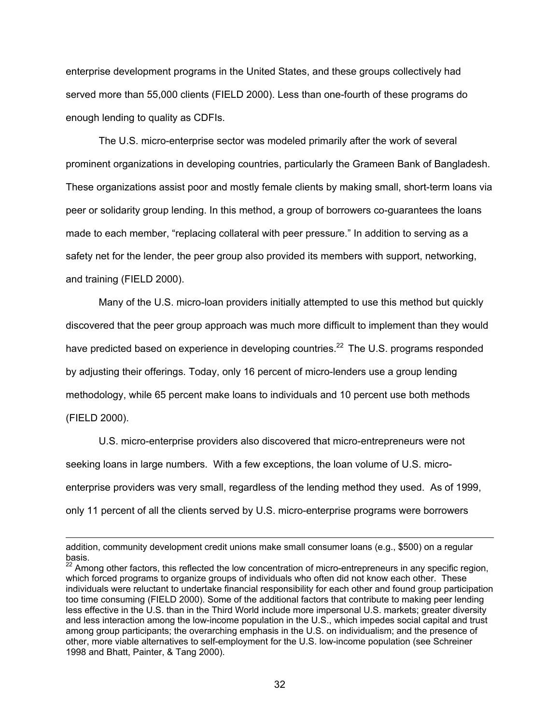enterprise development programs in the United States, and these groups collectively had served more than 55,000 clients (FIELD 2000). Less than one-fourth of these programs do enough lending to quality as CDFIs.

The U.S. micro-enterprise sector was modeled primarily after the work of several prominent organizations in developing countries, particularly the Grameen Bank of Bangladesh. These organizations assist poor and mostly female clients by making small, short-term loans via peer or solidarity group lending. In this method, a group of borrowers co-guarantees the loans made to each member, "replacing collateral with peer pressure." In addition to serving as a safety net for the lender, the peer group also provided its members with support, networking, and training (FIELD 2000).

Many of the U.S. micro-loan providers initially attempted to use this method but quickly discovered that the peer group approach was much more difficult to implement than they would have predicted based on experience in developing countries.<sup>22</sup> The U.S. programs responded by adjusting their offerings. Today, only 16 percent of micro-lenders use a group lending methodology, while 65 percent make loans to individuals and 10 percent use both methods (FIELD 2000).

U.S. micro-enterprise providers also discovered that micro-entrepreneurs were not seeking loans in large numbers. With a few exceptions, the loan volume of U.S. microenterprise providers was very small, regardless of the lending method they used. As of 1999, only 11 percent of all the clients served by U.S. micro-enterprise programs were borrowers

 $\overline{a}$ 

addition, community development credit unions make small consumer loans (e.g., \$500) on a regular basis.

 $22$  Among other factors, this reflected the low concentration of micro-entrepreneurs in any specific region, which forced programs to organize groups of individuals who often did not know each other. These individuals were reluctant to undertake financial responsibility for each other and found group participation too time consuming (FIELD 2000). Some of the additional factors that contribute to making peer lending less effective in the U.S. than in the Third World include more impersonal U.S. markets; greater diversity and less interaction among the low-income population in the U.S., which impedes social capital and trust among group participants; the overarching emphasis in the U.S. on individualism; and the presence of other, more viable alternatives to self-employment for the U.S. low-income population (see Schreiner 1998 and Bhatt, Painter, & Tang 2000).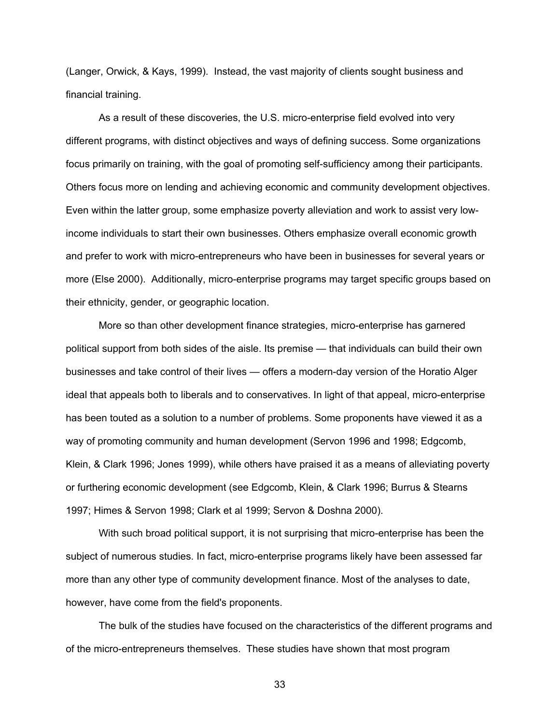(Langer, Orwick, & Kays, 1999). Instead, the vast majority of clients sought business and financial training.

 As a result of these discoveries, the U.S. micro-enterprise field evolved into very different programs, with distinct objectives and ways of defining success. Some organizations focus primarily on training, with the goal of promoting self-sufficiency among their participants. Others focus more on lending and achieving economic and community development objectives. Even within the latter group, some emphasize poverty alleviation and work to assist very lowincome individuals to start their own businesses. Others emphasize overall economic growth and prefer to work with micro-entrepreneurs who have been in businesses for several years or more (Else 2000). Additionally, micro-enterprise programs may target specific groups based on their ethnicity, gender, or geographic location.

More so than other development finance strategies, micro-enterprise has garnered political support from both sides of the aisle. Its premise — that individuals can build their own businesses and take control of their lives — offers a modern-day version of the Horatio Alger ideal that appeals both to liberals and to conservatives. In light of that appeal, micro-enterprise has been touted as a solution to a number of problems. Some proponents have viewed it as a way of promoting community and human development (Servon 1996 and 1998; Edgcomb, Klein, & Clark 1996; Jones 1999), while others have praised it as a means of alleviating poverty or furthering economic development (see Edgcomb, Klein, & Clark 1996; Burrus & Stearns 1997; Himes & Servon 1998; Clark et al 1999; Servon & Doshna 2000).

With such broad political support, it is not surprising that micro-enterprise has been the subject of numerous studies. In fact, micro-enterprise programs likely have been assessed far more than any other type of community development finance. Most of the analyses to date, however, have come from the field's proponents.

The bulk of the studies have focused on the characteristics of the different programs and of the micro-entrepreneurs themselves. These studies have shown that most program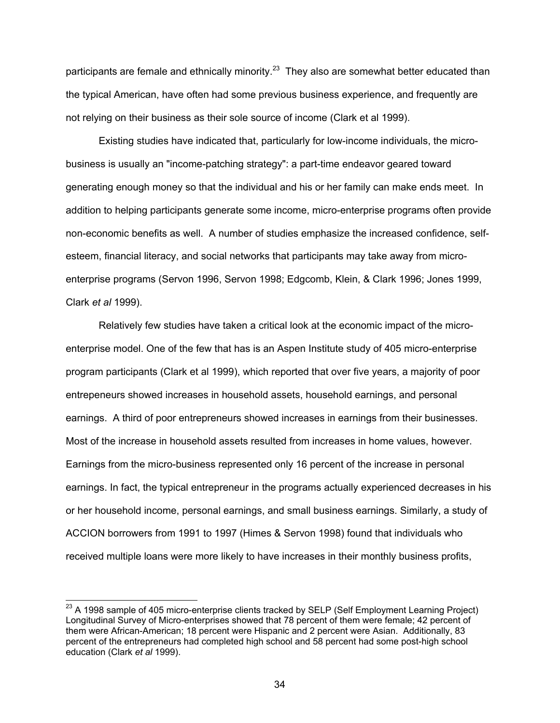participants are female and ethnically minority.<sup>23</sup> They also are somewhat better educated than the typical American, have often had some previous business experience, and frequently are not relying on their business as their sole source of income (Clark et al 1999).

Existing studies have indicated that, particularly for low-income individuals, the microbusiness is usually an "income-patching strategy": a part-time endeavor geared toward generating enough money so that the individual and his or her family can make ends meet. In addition to helping participants generate some income, micro-enterprise programs often provide non-economic benefits as well. A number of studies emphasize the increased confidence, selfesteem, financial literacy, and social networks that participants may take away from microenterprise programs (Servon 1996, Servon 1998; Edgcomb, Klein, & Clark 1996; Jones 1999, Clark *et al* 1999).

Relatively few studies have taken a critical look at the economic impact of the microenterprise model. One of the few that has is an Aspen Institute study of 405 micro-enterprise program participants (Clark et al 1999), which reported that over five years, a majority of poor entrepeneurs showed increases in household assets, household earnings, and personal earnings. A third of poor entrepreneurs showed increases in earnings from their businesses. Most of the increase in household assets resulted from increases in home values, however. Earnings from the micro-business represented only 16 percent of the increase in personal earnings. In fact, the typical entrepreneur in the programs actually experienced decreases in his or her household income, personal earnings, and small business earnings. Similarly, a study of ACCION borrowers from 1991 to 1997 (Himes & Servon 1998) found that individuals who received multiple loans were more likely to have increases in their monthly business profits,

 $\overline{a}$ 

 $^{23}$  A 1998 sample of 405 micro-enterprise clients tracked by SELP (Self Employment Learning Project) Longitudinal Survey of Micro-enterprises showed that 78 percent of them were female; 42 percent of them were African-American; 18 percent were Hispanic and 2 percent were Asian. Additionally, 83 percent of the entrepreneurs had completed high school and 58 percent had some post-high school education (Clark *et al* 1999).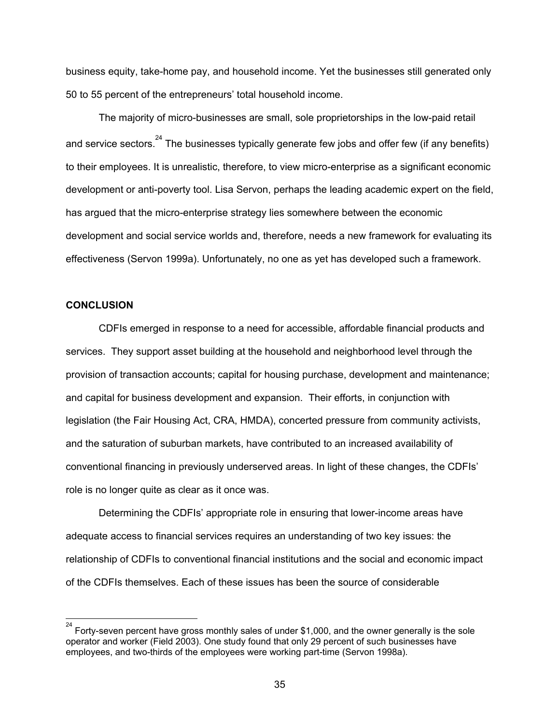business equity, take-home pay, and household income. Yet the businesses still generated only 50 to 55 percent of the entrepreneurs' total household income.

The majority of micro-businesses are small, sole proprietorships in the low-paid retail and service sectors.  $24$  The businesses typically generate few jobs and offer few (if any benefits) to their employees. It is unrealistic, therefore, to view micro-enterprise as a significant economic development or anti-poverty tool. Lisa Servon, perhaps the leading academic expert on the field, has argued that the micro-enterprise strategy lies somewhere between the economic development and social service worlds and, therefore, needs a new framework for evaluating its effectiveness (Servon 1999a). Unfortunately, no one as yet has developed such a framework.

### **CONCLUSION**

l

CDFIs emerged in response to a need for accessible, affordable financial products and services. They support asset building at the household and neighborhood level through the provision of transaction accounts; capital for housing purchase, development and maintenance; and capital for business development and expansion. Their efforts, in conjunction with legislation (the Fair Housing Act, CRA, HMDA), concerted pressure from community activists, and the saturation of suburban markets, have contributed to an increased availability of conventional financing in previously underserved areas. In light of these changes, the CDFIs' role is no longer quite as clear as it once was.

Determining the CDFIs' appropriate role in ensuring that lower-income areas have adequate access to financial services requires an understanding of two key issues: the relationship of CDFIs to conventional financial institutions and the social and economic impact of the CDFIs themselves. Each of these issues has been the source of considerable

<sup>24</sup> Forty-seven percent have gross monthly sales of under \$1,000, and the owner generally is the sole operator and worker (Field 2003). One study found that only 29 percent of such businesses have employees, and two-thirds of the employees were working part-time (Servon 1998a).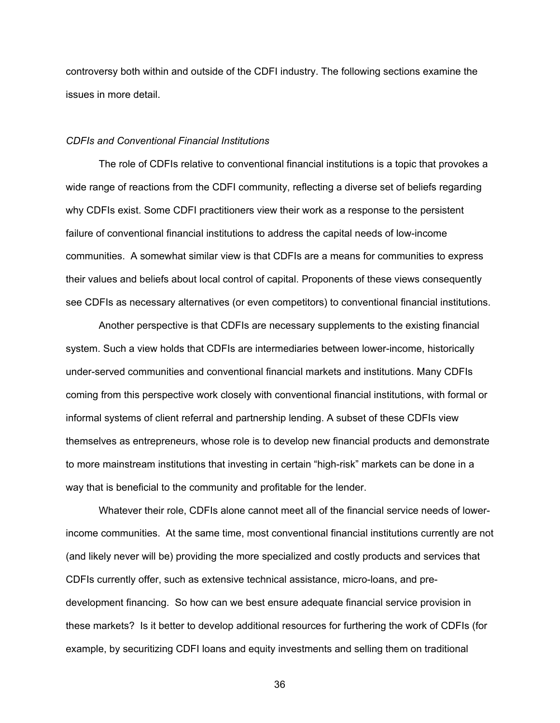controversy both within and outside of the CDFI industry. The following sections examine the issues in more detail.

### *CDFIs and Conventional Financial Institutions*

The role of CDFIs relative to conventional financial institutions is a topic that provokes a wide range of reactions from the CDFI community, reflecting a diverse set of beliefs regarding why CDFIs exist. Some CDFI practitioners view their work as a response to the persistent failure of conventional financial institutions to address the capital needs of low-income communities. A somewhat similar view is that CDFIs are a means for communities to express their values and beliefs about local control of capital. Proponents of these views consequently see CDFIs as necessary alternatives (or even competitors) to conventional financial institutions.

Another perspective is that CDFIs are necessary supplements to the existing financial system. Such a view holds that CDFIs are intermediaries between lower-income, historically under-served communities and conventional financial markets and institutions. Many CDFIs coming from this perspective work closely with conventional financial institutions, with formal or informal systems of client referral and partnership lending. A subset of these CDFIs view themselves as entrepreneurs, whose role is to develop new financial products and demonstrate to more mainstream institutions that investing in certain "high-risk" markets can be done in a way that is beneficial to the community and profitable for the lender.

Whatever their role, CDFIs alone cannot meet all of the financial service needs of lowerincome communities. At the same time, most conventional financial institutions currently are not (and likely never will be) providing the more specialized and costly products and services that CDFIs currently offer, such as extensive technical assistance, micro-loans, and predevelopment financing. So how can we best ensure adequate financial service provision in these markets? Is it better to develop additional resources for furthering the work of CDFIs (for example, by securitizing CDFI loans and equity investments and selling them on traditional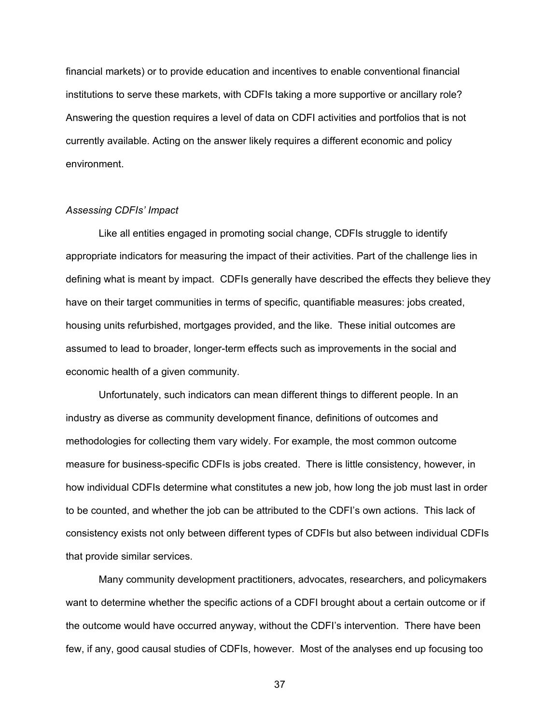financial markets) or to provide education and incentives to enable conventional financial institutions to serve these markets, with CDFIs taking a more supportive or ancillary role? Answering the question requires a level of data on CDFI activities and portfolios that is not currently available. Acting on the answer likely requires a different economic and policy environment.

### *Assessing CDFIs' Impact*

Like all entities engaged in promoting social change, CDFIs struggle to identify appropriate indicators for measuring the impact of their activities. Part of the challenge lies in defining what is meant by impact. CDFIs generally have described the effects they believe they have on their target communities in terms of specific, quantifiable measures: jobs created, housing units refurbished, mortgages provided, and the like. These initial outcomes are assumed to lead to broader, longer-term effects such as improvements in the social and economic health of a given community.

Unfortunately, such indicators can mean different things to different people. In an industry as diverse as community development finance, definitions of outcomes and methodologies for collecting them vary widely. For example, the most common outcome measure for business-specific CDFIs is jobs created. There is little consistency, however, in how individual CDFIs determine what constitutes a new job, how long the job must last in order to be counted, and whether the job can be attributed to the CDFI's own actions. This lack of consistency exists not only between different types of CDFIs but also between individual CDFIs that provide similar services.

Many community development practitioners, advocates, researchers, and policymakers want to determine whether the specific actions of a CDFI brought about a certain outcome or if the outcome would have occurred anyway, without the CDFI's intervention. There have been few, if any, good causal studies of CDFIs, however. Most of the analyses end up focusing too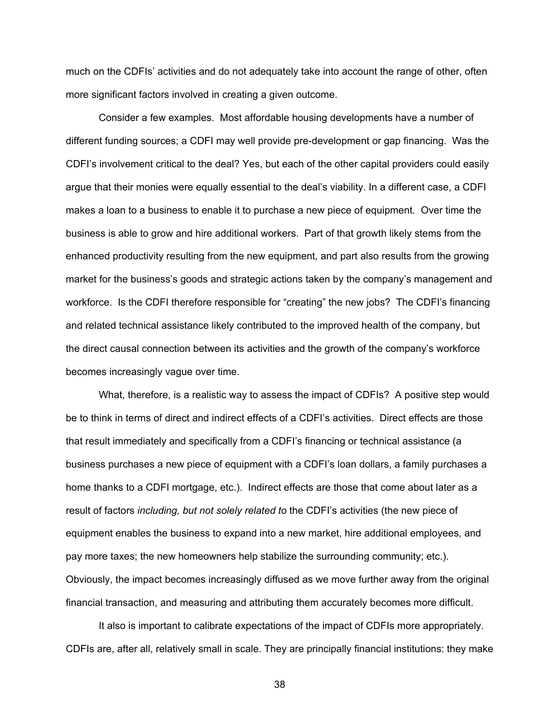much on the CDFIs' activities and do not adequately take into account the range of other, often more significant factors involved in creating a given outcome.

Consider a few examples. Most affordable housing developments have a number of different funding sources; a CDFI may well provide pre-development or gap financing. Was the CDFI's involvement critical to the deal? Yes, but each of the other capital providers could easily argue that their monies were equally essential to the deal's viability. In a different case, a CDFI makes a loan to a business to enable it to purchase a new piece of equipment. Over time the business is able to grow and hire additional workers. Part of that growth likely stems from the enhanced productivity resulting from the new equipment, and part also results from the growing market for the business's goods and strategic actions taken by the company's management and workforce. Is the CDFI therefore responsible for "creating" the new jobs? The CDFI's financing and related technical assistance likely contributed to the improved health of the company, but the direct causal connection between its activities and the growth of the company's workforce becomes increasingly vague over time.

What, therefore, is a realistic way to assess the impact of CDFIs? A positive step would be to think in terms of direct and indirect effects of a CDFI's activities. Direct effects are those that result immediately and specifically from a CDFI's financing or technical assistance (a business purchases a new piece of equipment with a CDFI's loan dollars, a family purchases a home thanks to a CDFI mortgage, etc.). Indirect effects are those that come about later as a result of factors *including, but not solely related to* the CDFI's activities (the new piece of equipment enables the business to expand into a new market, hire additional employees, and pay more taxes; the new homeowners help stabilize the surrounding community; etc.). Obviously, the impact becomes increasingly diffused as we move further away from the original financial transaction, and measuring and attributing them accurately becomes more difficult.

It also is important to calibrate expectations of the impact of CDFIs more appropriately. CDFIs are, after all, relatively small in scale. They are principally financial institutions: they make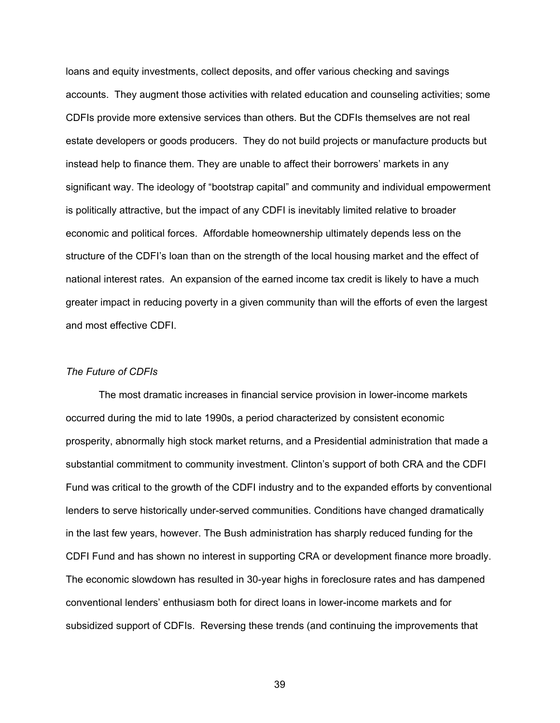loans and equity investments, collect deposits, and offer various checking and savings accounts. They augment those activities with related education and counseling activities; some CDFIs provide more extensive services than others. But the CDFIs themselves are not real estate developers or goods producers. They do not build projects or manufacture products but instead help to finance them. They are unable to affect their borrowers' markets in any significant way. The ideology of "bootstrap capital" and community and individual empowerment is politically attractive, but the impact of any CDFI is inevitably limited relative to broader economic and political forces. Affordable homeownership ultimately depends less on the structure of the CDFI's loan than on the strength of the local housing market and the effect of national interest rates. An expansion of the earned income tax credit is likely to have a much greater impact in reducing poverty in a given community than will the efforts of even the largest and most effective CDFI.

#### *The Future of CDFIs*

The most dramatic increases in financial service provision in lower-income markets occurred during the mid to late 1990s, a period characterized by consistent economic prosperity, abnormally high stock market returns, and a Presidential administration that made a substantial commitment to community investment. Clinton's support of both CRA and the CDFI Fund was critical to the growth of the CDFI industry and to the expanded efforts by conventional lenders to serve historically under-served communities. Conditions have changed dramatically in the last few years, however. The Bush administration has sharply reduced funding for the CDFI Fund and has shown no interest in supporting CRA or development finance more broadly. The economic slowdown has resulted in 30-year highs in foreclosure rates and has dampened conventional lenders' enthusiasm both for direct loans in lower-income markets and for subsidized support of CDFIs. Reversing these trends (and continuing the improvements that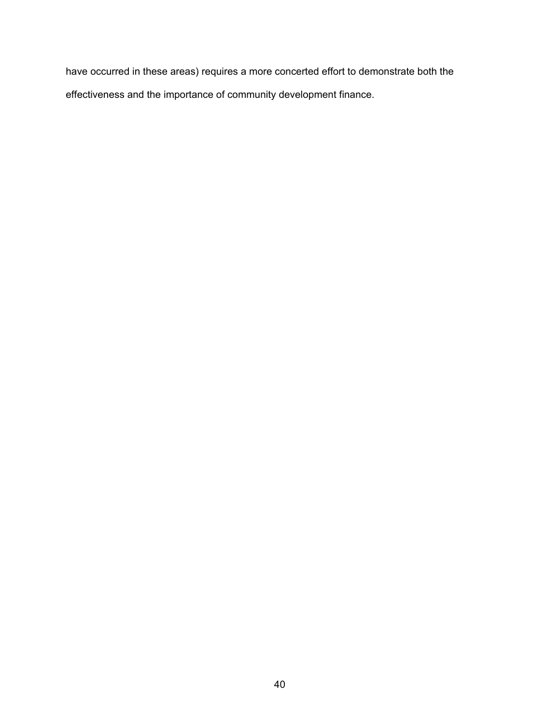have occurred in these areas) requires a more concerted effort to demonstrate both the effectiveness and the importance of community development finance.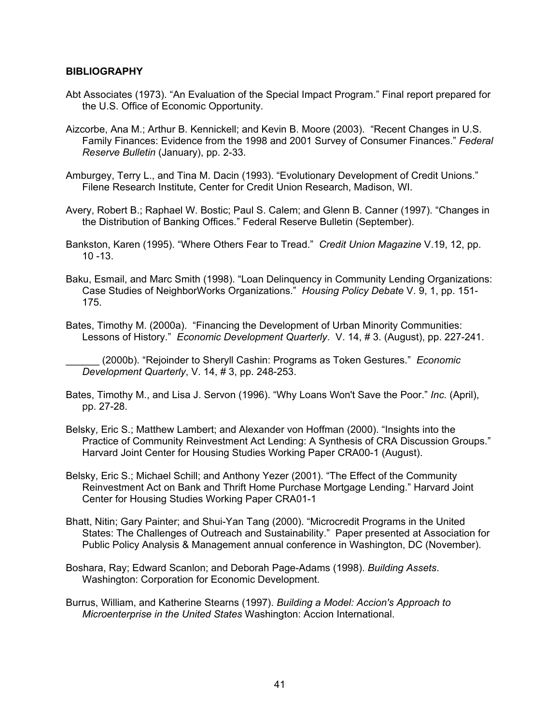### **BIBLIOGRAPHY**

- Abt Associates (1973). "An Evaluation of the Special Impact Program." Final report prepared for the U.S. Office of Economic Opportunity.
- Aizcorbe, Ana M.; Arthur B. Kennickell; and Kevin B. Moore (2003). "Recent Changes in U.S. Family Finances: Evidence from the 1998 and 2001 Survey of Consumer Finances." *Federal Reserve Bulletin* (January), pp. 2-33.
- Amburgey, Terry L., and Tina M. Dacin (1993). "Evolutionary Development of Credit Unions." Filene Research Institute, Center for Credit Union Research, Madison, WI.
- Avery, Robert B.; Raphael W. Bostic; Paul S. Calem; and Glenn B. Canner (1997). "Changes in the Distribution of Banking Offices." Federal Reserve Bulletin (September).
- Bankston, Karen (1995). "Where Others Fear to Tread." *Credit Union Magazine* V.19, 12, pp. 10 -13.
- Baku, Esmail, and Marc Smith (1998). "Loan Delinquency in Community Lending Organizations: Case Studies of NeighborWorks Organizations." *Housing Policy Debate* V. 9, 1, pp. 151- 175.
- Bates, Timothy M. (2000a). "Financing the Development of Urban Minority Communities: Lessons of History." *Economic Development Quarterly*. V. 14, # 3. (August), pp. 227-241.

\_\_\_\_\_\_ (2000b). "Rejoinder to Sheryll Cashin: Programs as Token Gestures." *Economic Development Quarterly*, V. 14, # 3, pp. 248-253.

- Bates, Timothy M., and Lisa J. Servon (1996). "Why Loans Won't Save the Poor." *Inc.* (April), pp. 27-28.
- Belsky, Eric S.; Matthew Lambert; and Alexander von Hoffman (2000). "Insights into the Practice of Community Reinvestment Act Lending: A Synthesis of CRA Discussion Groups." Harvard Joint Center for Housing Studies Working Paper CRA00-1 (August).
- Belsky, Eric S.; Michael Schill; and Anthony Yezer (2001). "The Effect of the Community Reinvestment Act on Bank and Thrift Home Purchase Mortgage Lending." Harvard Joint Center for Housing Studies Working Paper CRA01-1
- Bhatt, Nitin; Gary Painter; and Shui-Yan Tang (2000). "Microcredit Programs in the United States: The Challenges of Outreach and Sustainability." Paper presented at Association for Public Policy Analysis & Management annual conference in Washington, DC (November).
- Boshara, Ray; Edward Scanlon; and Deborah Page-Adams (1998). *Building Assets*. Washington: Corporation for Economic Development.
- Burrus, William, and Katherine Stearns (1997). *Building a Model: Accion's Approach to Microenterprise in the United States* Washington: Accion International.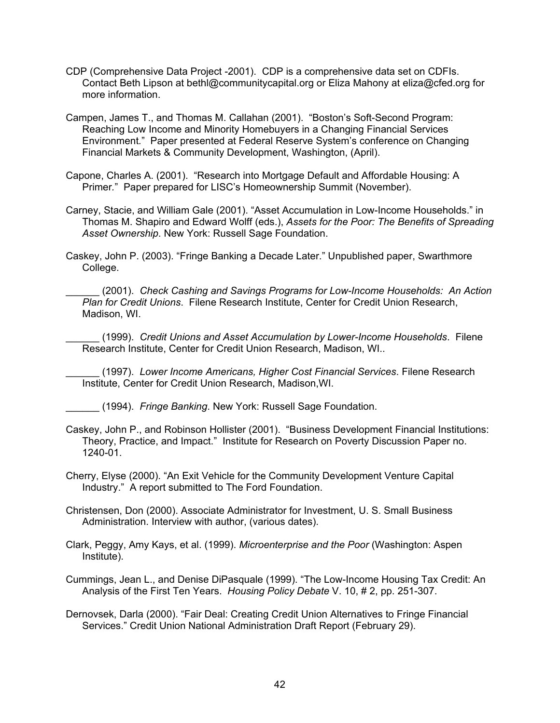- CDP (Comprehensive Data Project -2001). CDP is a comprehensive data set on CDFIs. Contact Beth Lipson at bethl@communitycapital.org or Eliza Mahony at eliza@cfed.org for more information.
- Campen, James T., and Thomas M. Callahan (2001). "Boston's Soft-Second Program: Reaching Low Income and Minority Homebuyers in a Changing Financial Services Environment*.*"Paper presented at Federal Reserve System's conference on Changing Financial Markets & Community Development, Washington, (April).
- Capone, Charles A. (2001). "Research into Mortgage Default and Affordable Housing: A Primer*.*"Paper prepared for LISC's Homeownership Summit (November).
- Carney, Stacie, and William Gale (2001). "Asset Accumulation in Low-Income Households." in Thomas M. Shapiro and Edward Wolff (eds.), *Assets for the Poor: The Benefits of Spreading Asset Ownership*. New York: Russell Sage Foundation.
- Caskey, John P. (2003). "Fringe Banking a Decade Later." Unpublished paper, Swarthmore College.

\_\_\_\_\_\_ (2001). *Check Cashing and Savings Programs for Low-Income Households: An Action Plan for Credit Unions*. Filene Research Institute, Center for Credit Union Research, Madison, WI.

\_\_\_\_\_\_ (1999). *Credit Unions and Asset Accumulation by Lower-Income Households*. Filene Research Institute, Center for Credit Union Research, Madison, WI..

\_\_\_\_\_\_ (1997). *Lower Income Americans, Higher Cost Financial Services*. Filene Research Institute, Center for Credit Union Research, Madison,WI.

- \_\_\_\_\_\_ (1994). *Fringe Banking*. New York: Russell Sage Foundation.
- Caskey, John P., and Robinson Hollister (2001). "Business Development Financial Institutions: Theory, Practice, and Impact." Institute for Research on Poverty Discussion Paper no. 1240-01.
- Cherry, Elyse (2000). "An Exit Vehicle for the Community Development Venture Capital Industry." A report submitted to The Ford Foundation.
- Christensen, Don (2000). Associate Administrator for Investment, U. S. Small Business Administration. Interview with author, (various dates).
- Clark, Peggy, Amy Kays, et al. (1999). *Microenterprise and the Poor* (Washington: Aspen Institute).

Cummings, Jean L., and Denise DiPasquale (1999). "The Low-Income Housing Tax Credit: An Analysis of the First Ten Years. *Housing Policy Debate* V. 10, # 2, pp. 251-307.

Dernovsek, Darla (2000). "Fair Deal: Creating Credit Union Alternatives to Fringe Financial Services." Credit Union National Administration Draft Report (February 29).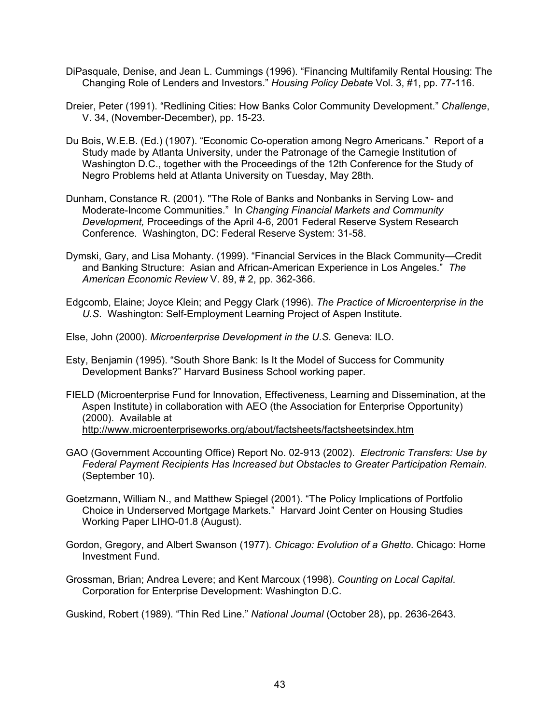- DiPasquale, Denise, and Jean L. Cummings (1996). "Financing Multifamily Rental Housing: The Changing Role of Lenders and Investors." *Housing Policy Debate* Vol. 3, #1, pp. 77-116.
- Dreier, Peter (1991). "Redlining Cities: How Banks Color Community Development." *Challenge*, V. 34, (November-December), pp. 15-23.
- Du Bois, W.E.B. (Ed.) (1907). "Economic Co-operation among Negro Americans." Report of a Study made by Atlanta University, under the Patronage of the Carnegie Institution of Washington D.C., together with the Proceedings of the 12th Conference for the Study of Negro Problems held at Atlanta University on Tuesday, May 28th.
- Dunham, Constance R. (2001). "The Role of Banks and Nonbanks in Serving Low- and Moderate-Income Communities." In *Changing Financial Markets and Community Development,* Proceedings of the April 4-6, 2001 Federal Reserve System Research Conference. Washington, DC: Federal Reserve System: 31-58.
- Dymski, Gary, and Lisa Mohanty. (1999). "Financial Services in the Black Community—Credit and Banking Structure: Asian and African-American Experience in Los Angeles." *The American Economic Review* V. 89, # 2, pp. 362-366.
- Edgcomb, Elaine; Joyce Klein; and Peggy Clark (1996). *The Practice of Microenterprise in the U.S*. Washington: Self-Employment Learning Project of Aspen Institute.
- Else, John (2000). *Microenterprise Development in the U.S.* Geneva: ILO.
- Esty, Benjamin (1995). "South Shore Bank: Is It the Model of Success for Community Development Banks?" Harvard Business School working paper.
- FIELD (Microenterprise Fund for Innovation, Effectiveness, Learning and Dissemination, at the Aspen Institute) in collaboration with AEO (the Association for Enterprise Opportunity) (2000). Available at http://www.microenterpriseworks.org/about/factsheets/factsheetsindex.htm
- GAO (Government Accounting Office) Report No. 02-913 (2002). *Electronic Transfers: Use by Federal Payment Recipients Has Increased but Obstacles to Greater Participation Remain.* (September 10).
- Goetzmann, William N., and Matthew Spiegel (2001). "The Policy Implications of Portfolio Choice in Underserved Mortgage Markets*.*" Harvard Joint Center on Housing Studies Working Paper LIHO-01.8 (August).
- Gordon, Gregory, and Albert Swanson (1977). *Chicago: Evolution of a Ghetto*. Chicago: Home Investment Fund.
- Grossman, Brian; Andrea Levere; and Kent Marcoux (1998). *Counting on Local Capital*. Corporation for Enterprise Development: Washington D.C.

Guskind, Robert (1989). "Thin Red Line." *National Journal* (October 28), pp. 2636-2643.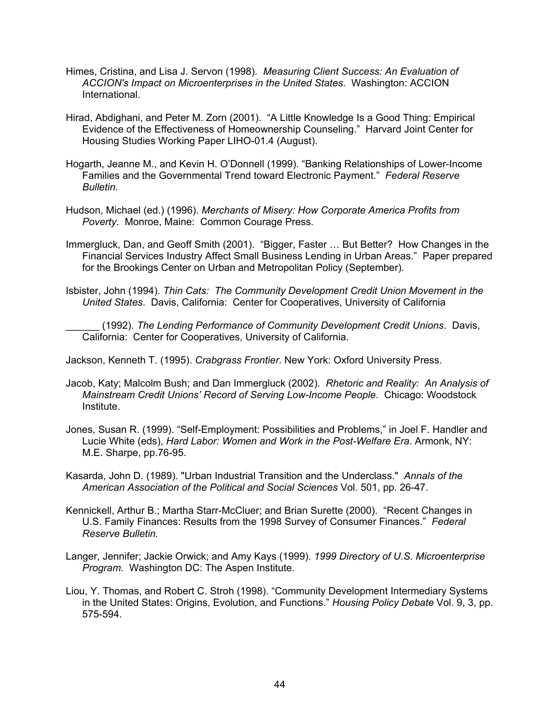- Himes, Cristina, and Lisa J. Servon (1998). *Measuring Client Success: An Evaluation of ACCION's Impact on Microenterprises in the United States*. Washington: ACCION **International**
- Hirad, Abdighani, and Peter M. Zorn (2001). "A Little Knowledge Is a Good Thing: Empirical Evidence of the Effectiveness of Homeownership Counseling." Harvard Joint Center for Housing Studies Working Paper LIHO-01.4 (August).
- Hogarth, Jeanne M., and Kevin H. O'Donnell (1999). "Banking Relationships of Lower-Income Families and the Governmental Trend toward Electronic Payment." *Federal Reserve Bulletin.*
- Hudson, Michael (ed.) (1996). *Merchants of Misery: How Corporate America Profits from Poverty*. Monroe, Maine: Common Courage Press.
- Immergluck, Dan, and Geoff Smith (2001). "Bigger, Faster … But Better? How Changes in the Financial Services Industry Affect Small Business Lending in Urban Areas." Paper prepared for the Brookings Center on Urban and Metropolitan Policy (September).
- Isbister, John (1994). *Thin Cats: The Community Development Credit Union Movement in the United States*. Davis, California: Center for Cooperatives, University of California
	- \_\_\_\_\_\_ (1992). *The Lending Performance of Community Development Credit Unions*. Davis, California: Center for Cooperatives, University of California.

Jackson, Kenneth T. (1995). *Crabgrass Frontier*. New York: Oxford University Press.

- Jacob, Katy; Malcolm Bush; and Dan Immergluck (2002). *Rhetoric and Reality: An Analysis of Mainstream Credit Unions' Record of Serving Low-Income People*. Chicago: Woodstock Institute.
- Jones, Susan R. (1999). "Self-Employment: Possibilities and Problems," in Joel F. Handler and Lucie White (eds), *Hard Labor: Women and Work in the Post-Welfare Era*. Armonk, NY: M.E. Sharpe, pp.76-95.
- Kasarda, John D. (1989). "Urban Industrial Transition and the Underclass." *Annals of the American Association of the Political and Social Sciences* Vol. 501, pp. 26-47.
- Kennickell, Arthur B.; Martha Starr-McCluer; and Brian Surette (2000). "Recent Changes in U.S. Family Finances: Results from the 1998 Survey of Consumer Finances." *Federal Reserve Bulletin.*
- Langer, Jennifer; Jackie Orwick; and Amy Kays (1999). *1999 Directory of U.S. Microenterprise Program*. Washington DC: The Aspen Institute.
- Liou, Y. Thomas, and Robert C. Stroh (1998). "Community Development Intermediary Systems in the United States: Origins, Evolution, and Functions." *Housing Policy Debate* Vol. 9, 3, pp. 575-594.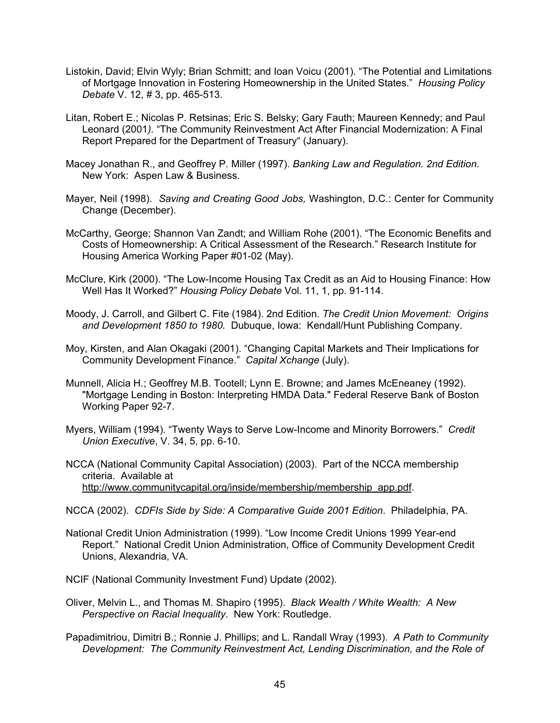- Listokin, David; Elvin Wyly; Brian Schmitt; and Ioan Voicu (2001). "The Potential and Limitations of Mortgage Innovation in Fostering Homeownership in the United States." *Housing Policy Debate* V. 12, # 3, pp. 465-513.
- Litan, Robert E.; Nicolas P. Retsinas; Eric S. Belsky; Gary Fauth; Maureen Kennedy; and Paul Leonard (2001*).* "The Community Reinvestment Act After Financial Modernization: A Final Report Prepared for the Department of Treasury" (January).
- Macey Jonathan R., and Geoffrey P. Miller (1997). *Banking Law and Regulation. 2nd Edition*. New York: Aspen Law & Business.
- Mayer, Neil (1998). *Saving and Creating Good Jobs,* Washington, D.C.: Center for Community Change (December).
- McCarthy, George; Shannon Van Zandt; and William Rohe (2001). "The Economic Benefits and Costs of Homeownership: A Critical Assessment of the Research." Research Institute for Housing America Working Paper #01-02 (May).
- McClure, Kirk (2000). "The Low-Income Housing Tax Credit as an Aid to Housing Finance: How Well Has It Worked?" *Housing Policy Debate* Vol. 11, 1, pp. 91-114.
- Moody, J. Carroll, and Gilbert C. Fite (1984). 2nd Edition. *The Credit Union Movement: Origins and Development 1850 to 1980.* Dubuque, Iowa: Kendall/Hunt Publishing Company.
- Moy, Kirsten, and Alan Okagaki (2001). "Changing Capital Markets and Their Implications for Community Development Finance." *Capital Xchange* (July).
- Munnell, Alicia H.; Geoffrey M.B. Tootell; Lynn E. Browne; and James McEneaney (1992). "Mortgage Lending in Boston: Interpreting HMDA Data." Federal Reserve Bank of Boston Working Paper 92-7.
- Myers, William (1994). "Twenty Ways to Serve Low-Income and Minority Borrowers." *Credit Union Executive*, V. 34, 5, pp. 6-10.
- NCCA (National Community Capital Association) (2003). Part of the NCCA membership criteria. Available at http://www.communitycapital.org/inside/membership/membership\_app.pdf.
- NCCA (2002). *CDFIs Side by Side: A Comparative Guide 2001 Edition*. Philadelphia, PA.
- National Credit Union Administration (1999). "Low Income Credit Unions 1999 Year-end Report." National Credit Union Administration, Office of Community Development Credit Unions, Alexandria, VA.
- NCIF (National Community Investment Fund) Update (2002).
- Oliver, Melvin L., and Thomas M. Shapiro (1995). *Black Wealth / White Wealth: A New Perspective on Racial Inequality*. New York: Routledge.
- Papadimitriou, Dimitri B.; Ronnie J. Phillips; and L. Randall Wray (1993). *A Path to Community Development: The Community Reinvestment Act, Lending Discrimination, and the Role of*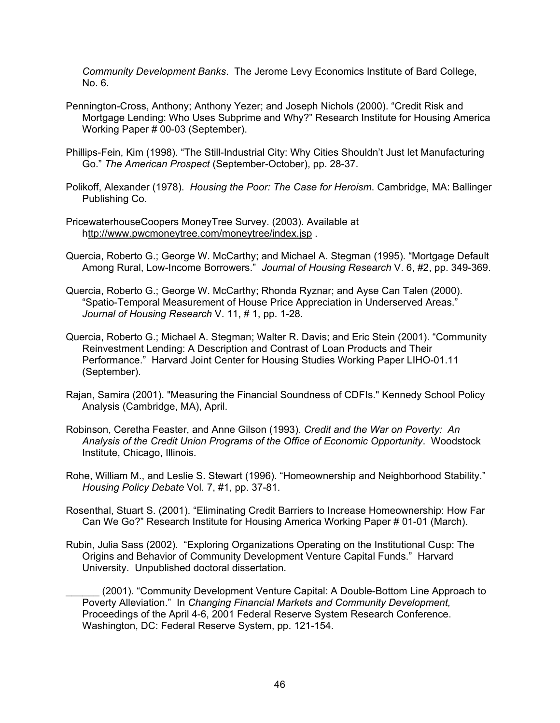*Community Development Banks*. The Jerome Levy Economics Institute of Bard College, No. 6.

- Pennington-Cross, Anthony; Anthony Yezer; and Joseph Nichols (2000). "Credit Risk and Mortgage Lending: Who Uses Subprime and Why?" Research Institute for Housing America Working Paper # 00-03 (September).
- Phillips-Fein, Kim (1998). "The Still-Industrial City: Why Cities Shouldn't Just let Manufacturing Go." *The American Prospect* (September-October), pp. 28-37.
- Polikoff, Alexander (1978). *Housing the Poor: The Case for Heroism*. Cambridge, MA: Ballinger Publishing Co.
- PricewaterhouseCoopers MoneyTree Survey. (2003). Available at http://www.pwcmoneytree.com/moneytree/index.jsp .
- Quercia, Roberto G.; George W. McCarthy; and Michael A. Stegman (1995). "Mortgage Default Among Rural, Low-Income Borrowers." *Journal of Housing Research* V. 6, #2, pp. 349-369.
- Quercia, Roberto G.; George W. McCarthy; Rhonda Ryznar; and Ayse Can Talen (2000). "Spatio-Temporal Measurement of House Price Appreciation in Underserved Areas." *Journal of Housing Research* V. 11, # 1, pp. 1-28.
- Quercia, Roberto G.; Michael A. Stegman; Walter R. Davis; and Eric Stein (2001). "Community Reinvestment Lending: A Description and Contrast of Loan Products and Their Performance." Harvard Joint Center for Housing Studies Working Paper LIHO-01.11 (September).
- Rajan, Samira (2001). "Measuring the Financial Soundness of CDFIs." Kennedy School Policy Analysis (Cambridge, MA), April.
- Robinson, Ceretha Feaster, and Anne Gilson (1993). *Credit and the War on Poverty: An Analysis of the Credit Union Programs of the Office of Economic Opportunity*. Woodstock Institute, Chicago, Illinois.
- Rohe, William M., and Leslie S. Stewart (1996). "Homeownership and Neighborhood Stability." *Housing Policy Debate* Vol. 7, #1, pp. 37-81.
- Rosenthal, Stuart S. (2001). "Eliminating Credit Barriers to Increase Homeownership: How Far Can We Go?" Research Institute for Housing America Working Paper # 01-01 (March).
- Rubin, Julia Sass (2002). "Exploring Organizations Operating on the Institutional Cusp: The Origins and Behavior of Community Development Venture Capital Funds." Harvard University. Unpublished doctoral dissertation.
	- \_\_\_\_\_\_ (2001). "Community Development Venture Capital: A Double-Bottom Line Approach to Poverty Alleviation." In *Changing Financial Markets and Community Development,*  Proceedings of the April 4-6, 2001 Federal Reserve System Research Conference. Washington, DC: Federal Reserve System, pp. 121-154.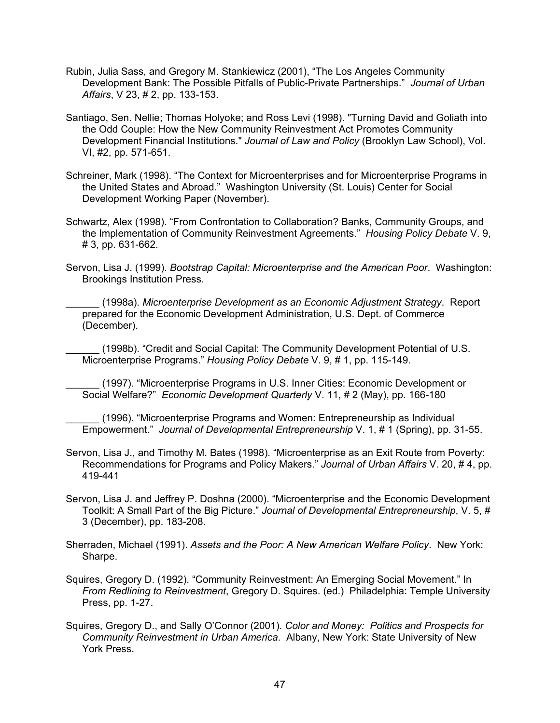- Rubin, Julia Sass, and Gregory M. Stankiewicz (2001), "The Los Angeles Community Development Bank: The Possible Pitfalls of Public-Private Partnerships." *Journal of Urban Affairs*, V 23, # 2, pp. 133-153.
- Santiago, Sen. Nellie; Thomas Holyoke; and Ross Levi (1998). "Turning David and Goliath into the Odd Couple: How the New Community Reinvestment Act Promotes Community Development Financial Institutions." *Journal of Law and Policy* (Brooklyn Law School), Vol. VI, #2, pp. 571-651.
- Schreiner, Mark (1998). "The Context for Microenterprises and for Microenterprise Programs in the United States and Abroad." Washington University (St. Louis) Center for Social Development Working Paper (November).
- Schwartz, Alex (1998). "From Confrontation to Collaboration? Banks, Community Groups, and the Implementation of Community Reinvestment Agreements." *Housing Policy Debate* V. 9, # 3, pp. 631-662.
- Servon, Lisa J. (1999). *Bootstrap Capital: Microenterprise and the American Poor*. Washington: Brookings Institution Press.
	- \_\_\_\_\_\_ (1998a). *Microenterprise Development as an Economic Adjustment Strategy*. Report prepared for the Economic Development Administration, U.S. Dept. of Commerce (December).

(1998b). "Credit and Social Capital: The Community Development Potential of U.S. Microenterprise Programs." *Housing Policy Debate* V. 9, # 1, pp. 115-149.

\_\_\_\_\_\_ (1997). "Microenterprise Programs in U.S. Inner Cities: Economic Development or Social Welfare?" *Economic Development Quarterly* V. 11, # 2 (May), pp. 166-180

\_\_\_\_\_\_ (1996). "Microenterprise Programs and Women: Entrepreneurship as Individual Empowerment." *Journal of Developmental Entrepreneurship* V. 1, # 1 (Spring), pp. 31-55.

- Servon, Lisa J., and Timothy M. Bates (1998). "Microenterprise as an Exit Route from Poverty: Recommendations for Programs and Policy Makers." *Journal of Urban Affairs* V. 20, # 4, pp. 419-441
- Servon, Lisa J. and Jeffrey P. Doshna (2000). "Microenterprise and the Economic Development Toolkit: A Small Part of the Big Picture." *Journal of Developmental Entrepreneurship*, V. 5, # 3 (December), pp. 183-208.
- Sherraden, Michael (1991). *Assets and the Poor: A New American Welfare Policy*. New York: Sharpe.
- Squires, Gregory D. (1992). "Community Reinvestment: An Emerging Social Movement." In *From Redlining to Reinvestment*, Gregory D. Squires. (ed.) Philadelphia: Temple University Press, pp. 1-27.
- Squires, Gregory D., and Sally O'Connor (2001). *Color and Money: Politics and Prospects for Community Reinvestment in Urban America*. Albany, New York: State University of New York Press.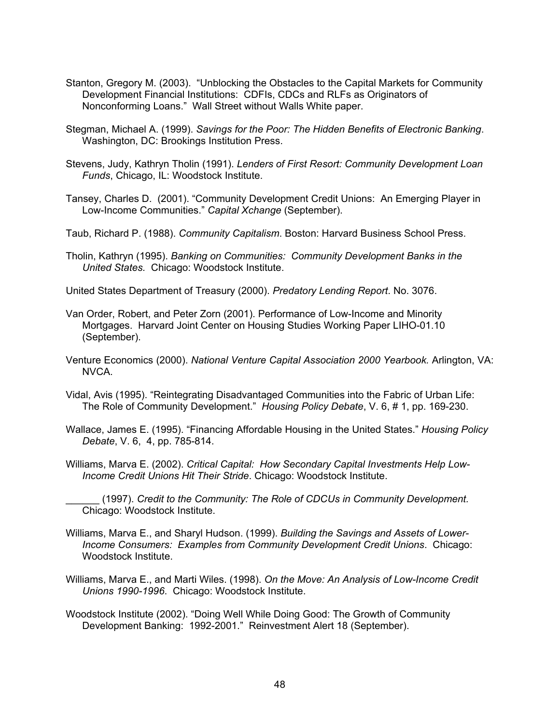- Stanton, Gregory M. (2003). "Unblocking the Obstacles to the Capital Markets for Community Development Financial Institutions: CDFIs, CDCs and RLFs as Originators of Nonconforming Loans." Wall Street without Walls White paper.
- Stegman, Michael A. (1999). *Savings for the Poor: The Hidden Benefits of Electronic Banking*. Washington, DC: Brookings Institution Press.
- Stevens, Judy, Kathryn Tholin (1991). *Lenders of First Resort: Community Development Loan Funds*, Chicago, IL: Woodstock Institute.
- Tansey, Charles D. (2001). "Community Development Credit Unions: An Emerging Player in Low-Income Communities." *Capital Xchange* (September).
- Taub, Richard P. (1988). *Community Capitalism*. Boston: Harvard Business School Press.
- Tholin, Kathryn (1995). *Banking on Communities: Community Development Banks in the United States.* Chicago: Woodstock Institute.
- United States Department of Treasury (2000). *Predatory Lending Report*. No. 3076.
- Van Order, Robert, and Peter Zorn (2001). Performance of Low-Income and Minority Mortgages. Harvard Joint Center on Housing Studies Working Paper LIHO-01.10 (September).
- Venture Economics (2000). *National Venture Capital Association 2000 Yearbook.* Arlington, VA: NVCA.
- Vidal, Avis (1995). "Reintegrating Disadvantaged Communities into the Fabric of Urban Life: The Role of Community Development." *Housing Policy Debate*, V. 6, # 1, pp. 169-230.
- Wallace, James E. (1995). "Financing Affordable Housing in the United States." *Housing Policy Debate*, V. 6, 4, pp. 785-814.
- Williams, Marva E. (2002). *Critical Capital: How Secondary Capital Investments Help Low-Income Credit Unions Hit Their Stride*. Chicago: Woodstock Institute.
	- \_\_\_\_\_\_ (1997). *Credit to the Community: The Role of CDCUs in Community Development.*  Chicago: Woodstock Institute.
- Williams, Marva E., and Sharyl Hudson. (1999). *Building the Savings and Assets of Lower-Income Consumers: Examples from Community Development Credit Unions*. Chicago: Woodstock Institute.
- Williams, Marva E., and Marti Wiles. (1998). *On the Move: An Analysis of Low-Income Credit Unions 1990-1996*. Chicago: Woodstock Institute.
- Woodstock Institute (2002). "Doing Well While Doing Good: The Growth of Community Development Banking: 1992-2001." Reinvestment Alert 18 (September).